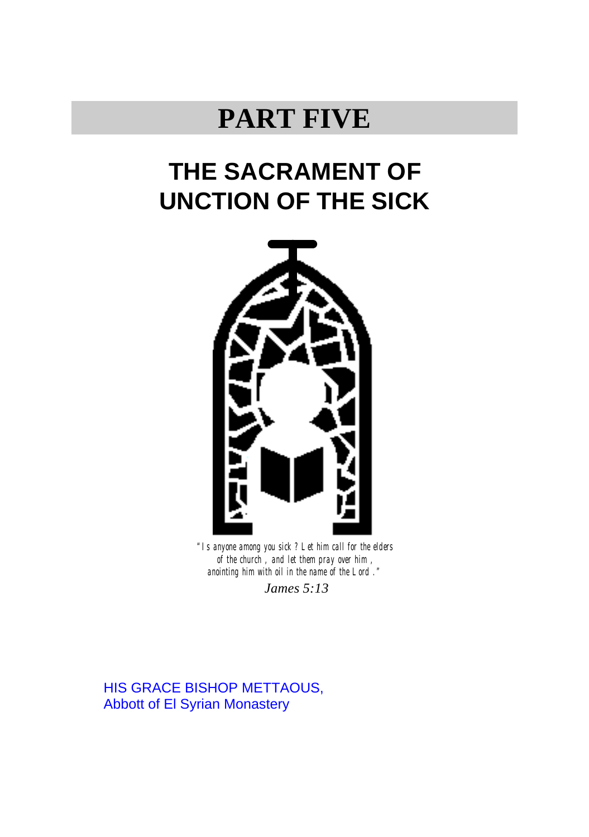# **PART FIVE**

# **THE SACRAMENT OF UNCTION OF THE SICK**



*"Is anyone among you sick ? Let him call for the elders of the church , and let them pray over him , anointing him with oil in the name of the Lord ."*

*James 5:13*

HIS GRACE BISHOP METTAOUS, Abbott of El Syrian Monastery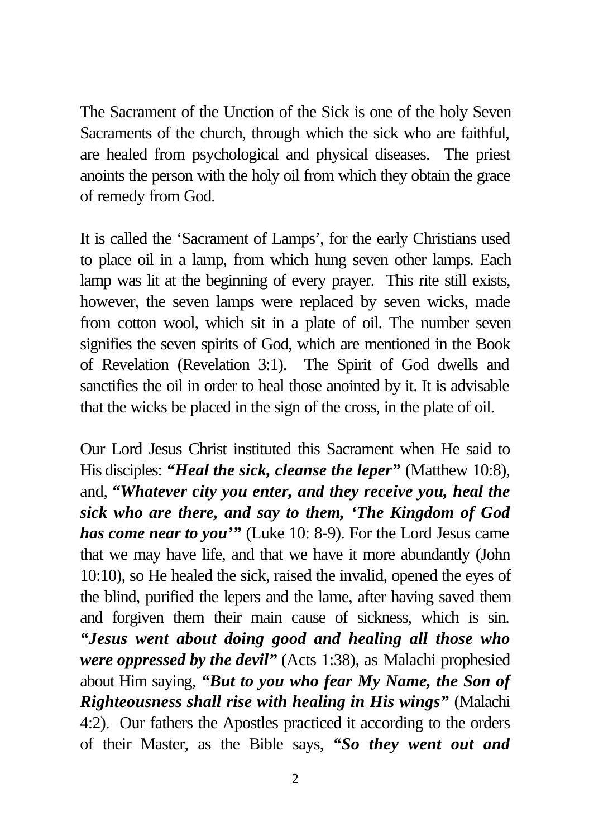The Sacrament of the Unction of the Sick is one of the holy Seven Sacraments of the church, through which the sick who are faithful, are healed from psychological and physical diseases. The priest anoints the person with the holy oil from which they obtain the grace of remedy from God.

It is called the 'Sacrament of Lamps', for the early Christians used to place oil in a lamp, from which hung seven other lamps. Each lamp was lit at the beginning of every prayer. This rite still exists, however, the seven lamps were replaced by seven wicks, made from cotton wool, which sit in a plate of oil. The number seven signifies the seven spirits of God, which are mentioned in the Book of Revelation (Revelation 3:1). The Spirit of God dwells and sanctifies the oil in order to heal those anointed by it. It is advisable that the wicks be placed in the sign of the cross, in the plate of oil.

Our Lord Jesus Christ instituted this Sacrament when He said to His disciples: *"Heal the sick, cleanse the leper"* (Matthew 10:8), and, *"Whatever city you enter, and they receive you, heal the sick who are there, and say to them, 'The Kingdom of God has come near to you'"* (Luke 10: 8-9). For the Lord Jesus came that we may have life, and that we have it more abundantly (John 10:10), so He healed the sick, raised the invalid, opened the eyes of the blind, purified the lepers and the lame, after having saved them and forgiven them their main cause of sickness, which is sin. *"Jesus went about doing good and healing all those who were oppressed by the devil"* (Acts 1:38), as Malachi prophesied about Him saying, *"But to you who fear My Name, the Son of Righteousness shall rise with healing in His wings"* (Malachi 4:2). Our fathers the Apostles practiced it according to the orders of their Master, as the Bible says, *"So they went out and*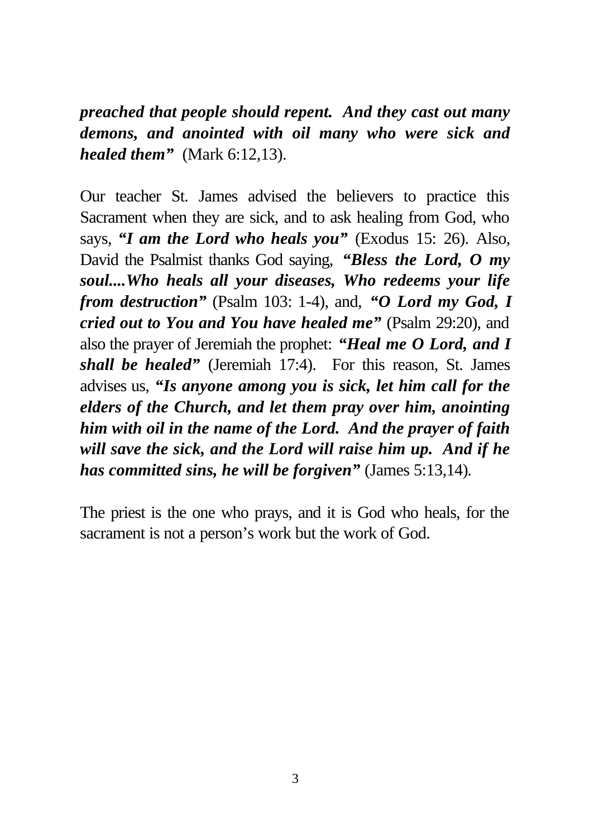*preached that people should repent. And they cast out many demons, and anointed with oil many who were sick and healed them"* (Mark 6:12,13).

Our teacher St. James advised the believers to practice this Sacrament when they are sick, and to ask healing from God, who says, *"I am the Lord who heals you"* (Exodus 15: 26). Also, David the Psalmist thanks God saying, *"Bless the Lord, O my soul....Who heals all your diseases, Who redeems your life from destruction"* (Psalm 103: 1-4), and, *"O Lord my God, I cried out to You and You have healed me"* (Psalm 29:20), and also the prayer of Jeremiah the prophet: *"Heal me O Lord, and I shall be healed"* (Jeremiah 17:4). For this reason, St. James advises us, *"Is anyone among you is sick, let him call for the elders of the Church, and let them pray over him, anointing him with oil in the name of the Lord. And the prayer of faith will save the sick, and the Lord will raise him up. And if he has committed sins, he will be forgiven"* (James 5:13,14)*.*

The priest is the one who prays, and it is God who heals, for the sacrament is not a person's work but the work of God.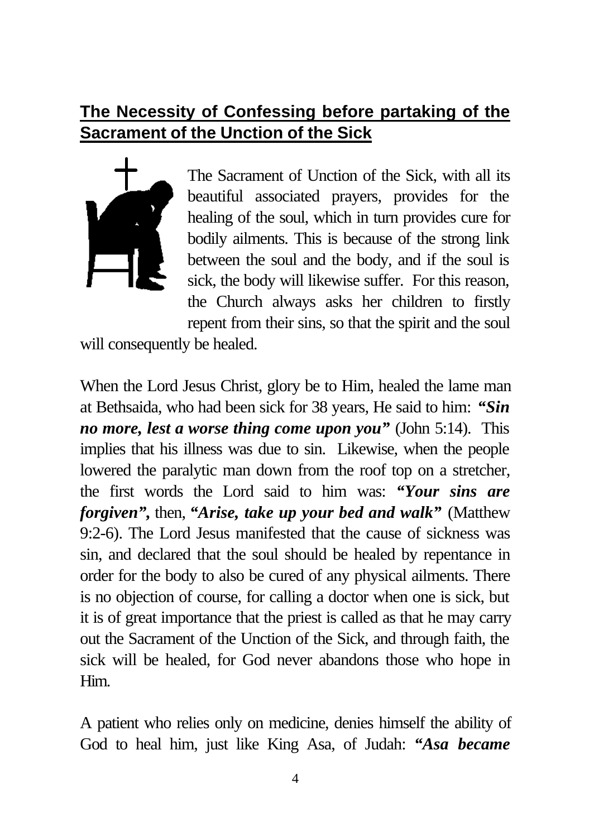### **The Necessity of Confessing before partaking of the Sacrament of the Unction of the Sick**



The Sacrament of Unction of the Sick, with all its beautiful associated prayers, provides for the healing of the soul, which in turn provides cure for bodily ailments. This is because of the strong link between the soul and the body, and if the soul is sick, the body will likewise suffer. For this reason, the Church always asks her children to firstly repent from their sins, so that the spirit and the soul

will consequently be healed.

When the Lord Jesus Christ, glory be to Him, healed the lame man at Bethsaida, who had been sick for 38 years, He said to him: *"Sin no more, lest a worse thing come upon you"* (John 5:14). This implies that his illness was due to sin. Likewise, when the people lowered the paralytic man down from the roof top on a stretcher, the first words the Lord said to him was: *"Your sins are forgiven",* then, *"Arise, take up your bed and walk"* (Matthew 9:2-6). The Lord Jesus manifested that the cause of sickness was sin, and declared that the soul should be healed by repentance in order for the body to also be cured of any physical ailments. There is no objection of course, for calling a doctor when one is sick, but it is of great importance that the priest is called as that he may carry out the Sacrament of the Unction of the Sick, and through faith, the sick will be healed, for God never abandons those who hope in Him.

A patient who relies only on medicine, denies himself the ability of God to heal him, just like King Asa, of Judah: *"Asa became*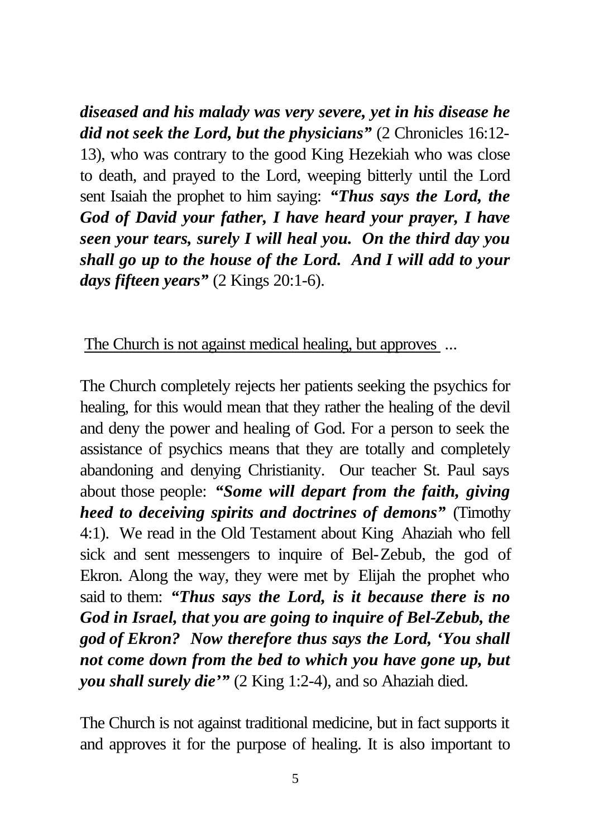*diseased and his malady was very severe, yet in his disease he did not seek the Lord, but the physicians"* (2 Chronicles 16:12- 13), who was contrary to the good King Hezekiah who was close to death, and prayed to the Lord, weeping bitterly until the Lord sent Isaiah the prophet to him saying: *"Thus says the Lord, the God of David your father, I have heard your prayer, I have seen your tears, surely I will heal you. On the third day you shall go up to the house of the Lord. And I will add to your days fifteen years"* (2 Kings 20:1-6).

The Church is not against medical healing, but approves ...

The Church completely rejects her patients seeking the psychics for healing, for this would mean that they rather the healing of the devil and deny the power and healing of God. For a person to seek the assistance of psychics means that they are totally and completely abandoning and denying Christianity. Our teacher St. Paul says about those people: *"Some will depart from the faith, giving heed to deceiving spirits and doctrines of demons"* (Timothy 4:1). We read in the Old Testament about King Ahaziah who fell sick and sent messengers to inquire of Bel-Zebub, the god of Ekron. Along the way, they were met by Elijah the prophet who said to them: *"Thus says the Lord, is it because there is no God in Israel, that you are going to inquire of Bel-Zebub, the god of Ekron? Now therefore thus says the Lord, 'You shall not come down from the bed to which you have gone up, but you shall surely die'"* (2 King 1:2-4), and so Ahaziah died.

The Church is not against traditional medicine, but in fact supports it and approves it for the purpose of healing. It is also important to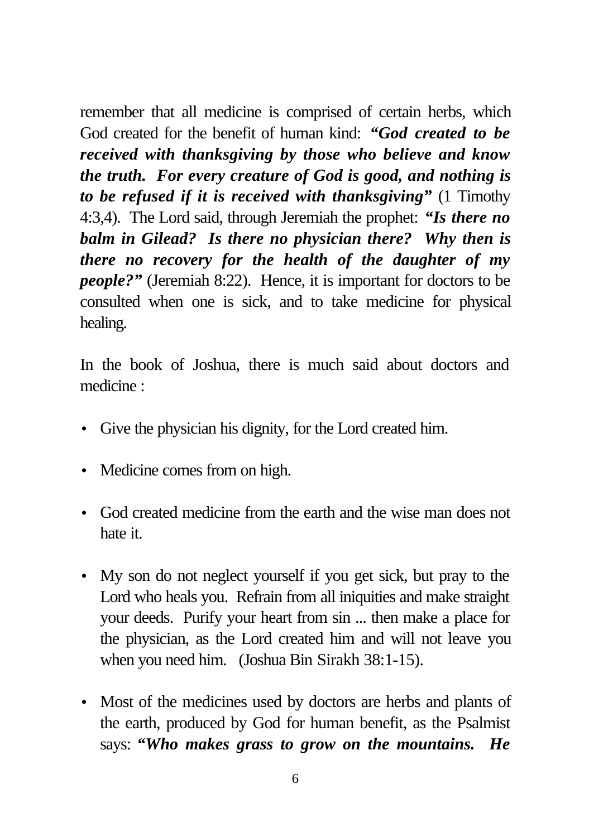remember that all medicine is comprised of certain herbs, which God created for the benefit of human kind: *"God created to be received with thanksgiving by those who believe and know the truth. For every creature of God is good, and nothing is to be refused if it is received with thanksgiving"* (1 Timothy 4:3,4). The Lord said, through Jeremiah the prophet: *"Is there no balm in Gilead? Is there no physician there? Why then is there no recovery for the health of the daughter of my people?"* (Jeremiah 8:22). Hence, it is important for doctors to be consulted when one is sick, and to take medicine for physical healing.

In the book of Joshua, there is much said about doctors and medicine :

- Give the physician his dignity, for the Lord created him.
- Medicine comes from on high.
- God created medicine from the earth and the wise man does not hate it.
- My son do not neglect yourself if you get sick, but pray to the Lord who heals you. Refrain from all iniquities and make straight your deeds. Purify your heart from sin ... then make a place for the physician, as the Lord created him and will not leave you when you need him. (Joshua Bin Sirakh 38:1-15).
- Most of the medicines used by doctors are herbs and plants of the earth, produced by God for human benefit, as the Psalmist says: *"Who makes grass to grow on the mountains. He*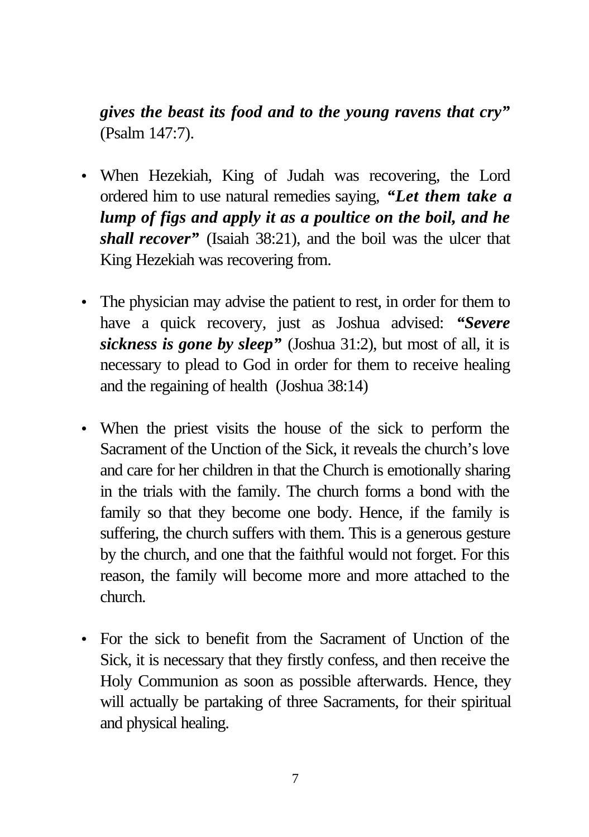*gives the beast its food and to the young ravens that cry"* (Psalm 147:7).

- When Hezekiah, King of Judah was recovering, the Lord ordered him to use natural remedies saying, *"Let them take a lump of figs and apply it as a poultice on the boil, and he shall recover*" (Isaiah 38:21), and the boil was the ulcer that King Hezekiah was recovering from.
- The physician may advise the patient to rest, in order for them to have a quick recovery, just as Joshua advised: *"Severe sickness is gone by sleep"* (Joshua 31:2), but most of all, it is necessary to plead to God in order for them to receive healing and the regaining of health (Joshua 38:14)
- When the priest visits the house of the sick to perform the Sacrament of the Unction of the Sick, it reveals the church's love and care for her children in that the Church is emotionally sharing in the trials with the family. The church forms a bond with the family so that they become one body. Hence, if the family is suffering, the church suffers with them. This is a generous gesture by the church, and one that the faithful would not forget. For this reason, the family will become more and more attached to the church.
- For the sick to benefit from the Sacrament of Unction of the Sick, it is necessary that they firstly confess, and then receive the Holy Communion as soon as possible afterwards. Hence, they will actually be partaking of three Sacraments, for their spiritual and physical healing.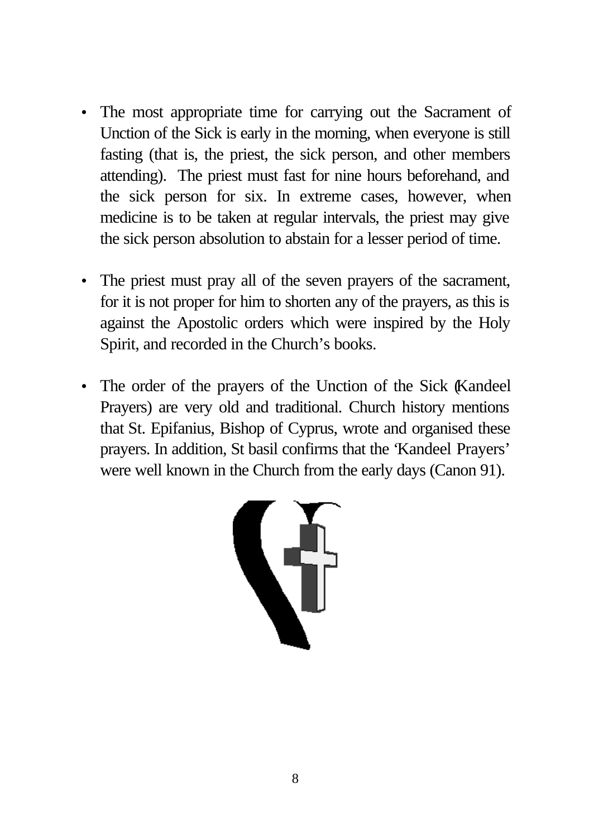- The most appropriate time for carrying out the Sacrament of Unction of the Sick is early in the morning, when everyone is still fasting (that is, the priest, the sick person, and other members attending). The priest must fast for nine hours beforehand, and the sick person for six. In extreme cases, however, when medicine is to be taken at regular intervals, the priest may give the sick person absolution to abstain for a lesser period of time.
- The priest must pray all of the seven prayers of the sacrament, for it is not proper for him to shorten any of the prayers, as this is against the Apostolic orders which were inspired by the Holy Spirit, and recorded in the Church's books.
- The order of the prayers of the Unction of the Sick (Kandeel Prayers) are very old and traditional. Church history mentions that St. Epifanius, Bishop of Cyprus, wrote and organised these prayers. In addition, St basil confirms that the 'Kandeel Prayers' were well known in the Church from the early days (Canon 91).

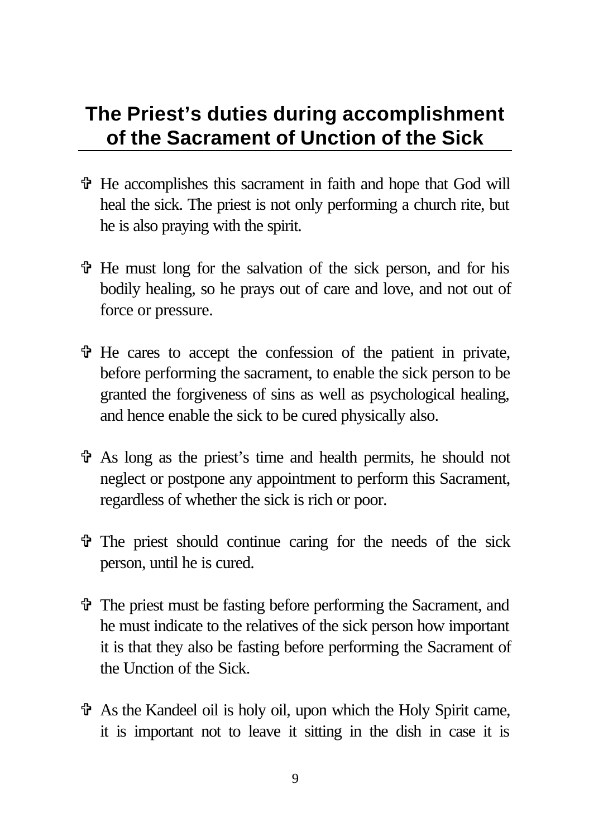## **The Priest's duties during accomplishment of the Sacrament of Unction of the Sick**

- V He accomplishes this sacrament in faith and hope that God will heal the sick. The priest is not only performing a church rite, but he is also praying with the spirit.
- $\hat{\mathbf{\Phi}}$  He must long for the salvation of the sick person, and for his bodily healing, so he prays out of care and love, and not out of force or pressure.
- V He cares to accept the confession of the patient in private, before performing the sacrament, to enable the sick person to be granted the forgiveness of sins as well as psychological healing, and hence enable the sick to be cured physically also.
- V As long as the priest's time and health permits, he should not neglect or postpone any appointment to perform this Sacrament, regardless of whether the sick is rich or poor.
- V The priest should continue caring for the needs of the sick person, until he is cured.
- V The priest must be fasting before performing the Sacrament, and he must indicate to the relatives of the sick person how important it is that they also be fasting before performing the Sacrament of the Unction of the Sick.
- V As the Kandeel oil is holy oil, upon which the Holy Spirit came, it is important not to leave it sitting in the dish in case it is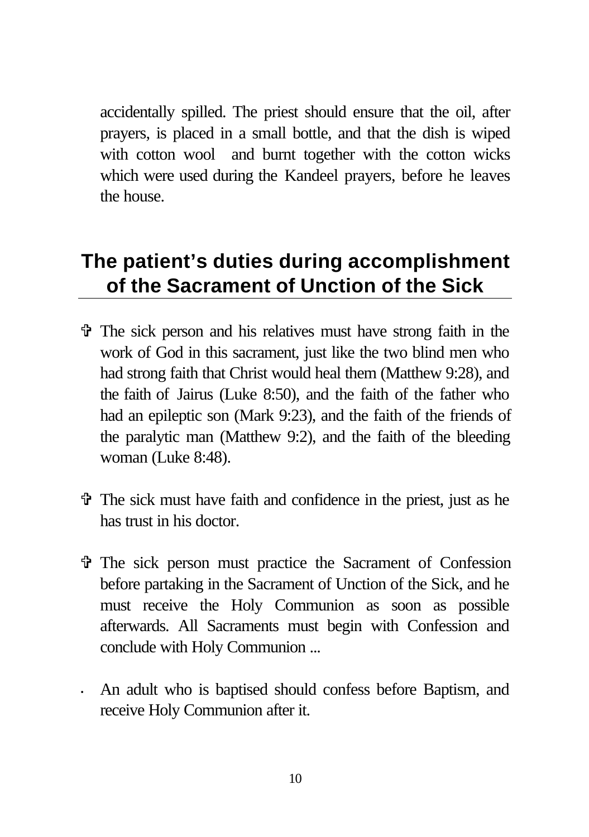accidentally spilled. The priest should ensure that the oil, after prayers, is placed in a small bottle, and that the dish is wiped with cotton wool and burnt together with the cotton wicks which were used during the Kandeel prayers, before he leaves the house.

### **The patient's duties during accomplishment of the Sacrament of Unction of the Sick**

- $\hat{\tau}$  The sick person and his relatives must have strong faith in the work of God in this sacrament, just like the two blind men who had strong faith that Christ would heal them (Matthew 9:28), and the faith of Jairus (Luke 8:50), and the faith of the father who had an epileptic son (Mark 9:23), and the faith of the friends of the paralytic man (Matthew 9:2), and the faith of the bleeding woman (Luke 8:48).
- $\hat{\mathbf{\Phi}}$  The sick must have faith and confidence in the priest, just as he has trust in his doctor.
- V The sick person must practice the Sacrament of Confession before partaking in the Sacrament of Unction of the Sick, and he must receive the Holy Communion as soon as possible afterwards. All Sacraments must begin with Confession and conclude with Holy Communion ...
- An adult who is baptised should confess before Baptism, and receive Holy Communion after it.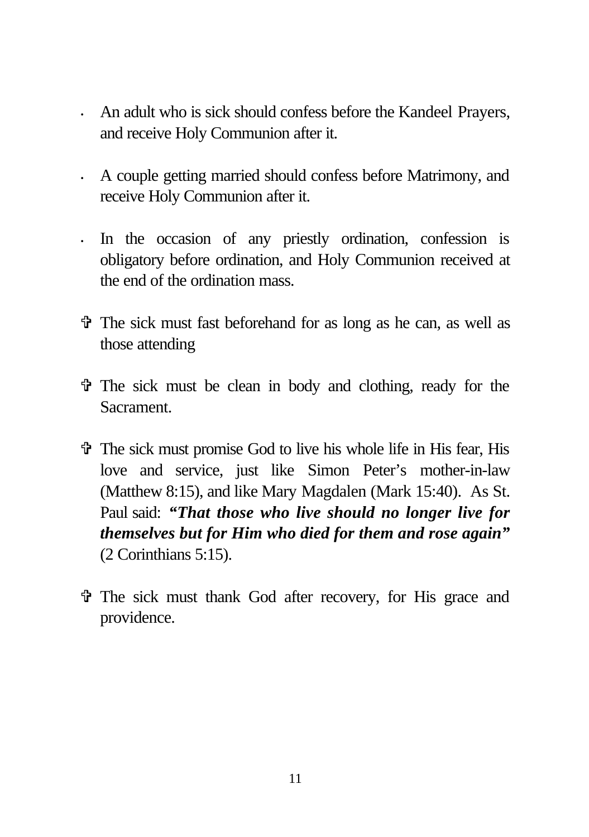- An adult who is sick should confess before the Kandeel Prayers, and receive Holy Communion after it.
- A couple getting married should confess before Matrimony, and receive Holy Communion after it.
- In the occasion of any priestly ordination, confession is obligatory before ordination, and Holy Communion received at the end of the ordination mass.
- V The sick must fast beforehand for as long as he can, as well as those attending
- V The sick must be clean in body and clothing, ready for the **Sacrament**
- V The sick must promise God to live his whole life in His fear, His love and service, just like Simon Peter's mother-in-law (Matthew 8:15), and like Mary Magdalen (Mark 15:40). As St. Paul said: *"That those who live should no longer live for themselves but for Him who died for them and rose again"* (2 Corinthians 5:15).
- V The sick must thank God after recovery, for His grace and providence.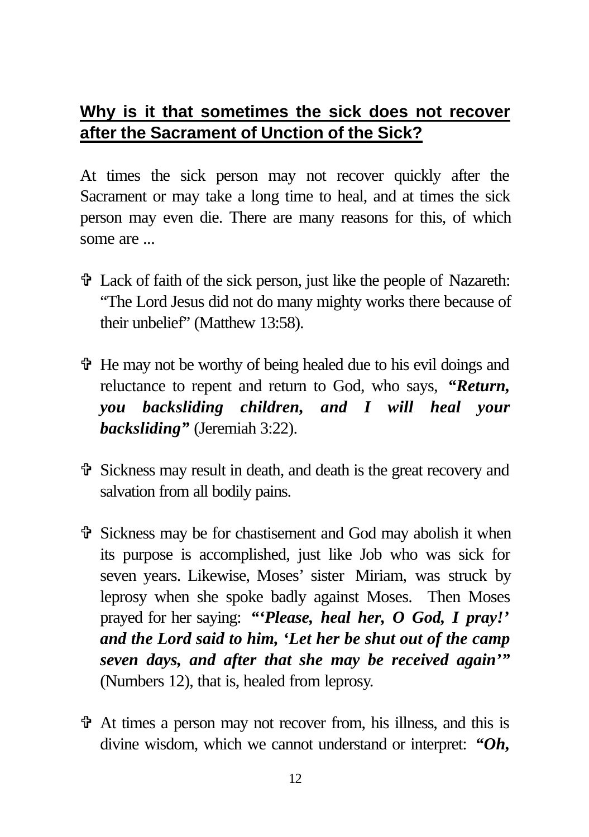### **Why is it that sometimes the sick does not recover after the Sacrament of Unction of the Sick?**

At times the sick person may not recover quickly after the Sacrament or may take a long time to heal, and at times the sick person may even die. There are many reasons for this, of which some are ...

- V Lack of faith of the sick person, just like the people of Nazareth: "The Lord Jesus did not do many mighty works there because of their unbelief" (Matthew 13:58).
- $\hat{\mathbf{\Phi}}$ . He may not be worthy of being healed due to his evil doings and reluctance to repent and return to God, who says, *"Return, you backsliding children, and I will heal your backsliding"* (Jeremiah 3:22).
- V Sickness may result in death, and death is the great recovery and salvation from all bodily pains.
- V Sickness may be for chastisement and God may abolish it when its purpose is accomplished, just like Job who was sick for seven years. Likewise, Moses' sister Miriam, was struck by leprosy when she spoke badly against Moses. Then Moses prayed for her saying: *"'Please, heal her, O God, I pray!' and the Lord said to him, 'Let her be shut out of the camp seven days, and after that she may be received again'"* (Numbers 12), that is, healed from leprosy*.*
- $\ddot{\mathbf{v}}$  At times a person may not recover from, his illness, and this is divine wisdom, which we cannot understand or interpret: *"Oh,*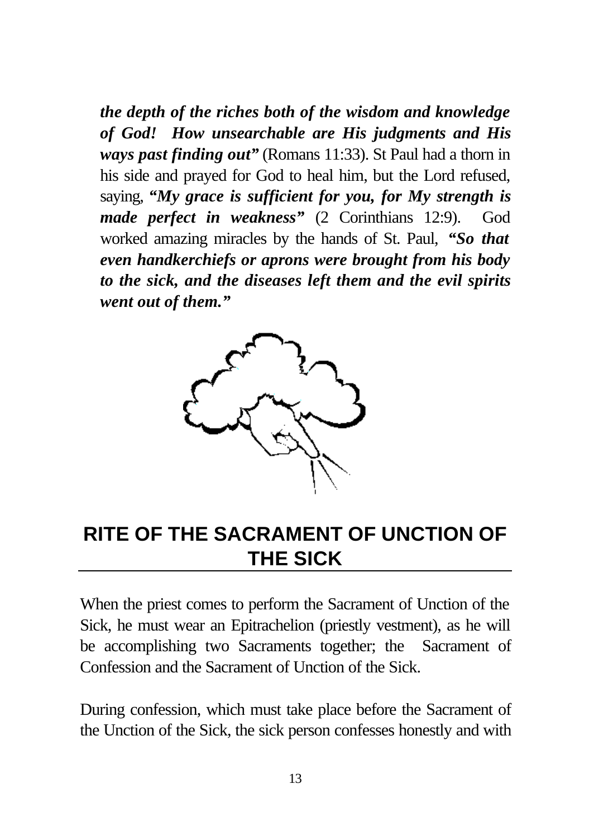*the depth of the riches both of the wisdom and knowledge of God! How unsearchable are His judgments and His ways past finding out"* (Romans 11:33). St Paul had a thorn in his side and prayed for God to heal him, but the Lord refused, saying, *"My grace is sufficient for you, for My strength is made perfect in weakness"* (2 Corinthians 12:9). God worked amazing miracles by the hands of St. Paul, *"So that even handkerchiefs or aprons were brought from his body to the sick, and the diseases left them and the evil spirits went out of them."*



## **RITE OF THE SACRAMENT OF UNCTION OF THE SICK**

When the priest comes to perform the Sacrament of Unction of the Sick, he must wear an Epitrachelion (priestly vestment), as he will be accomplishing two Sacraments together; the Sacrament of Confession and the Sacrament of Unction of the Sick.

During confession, which must take place before the Sacrament of the Unction of the Sick, the sick person confesses honestly and with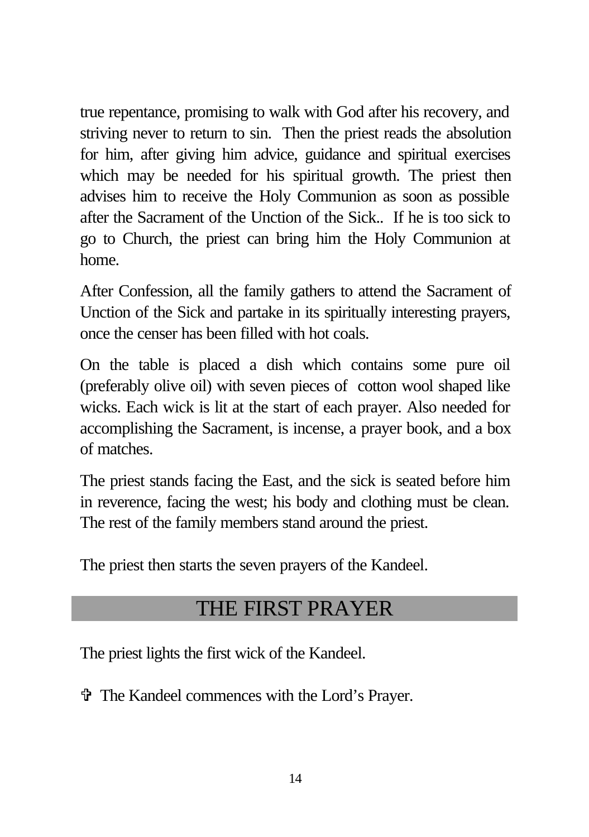true repentance, promising to walk with God after his recovery, and striving never to return to sin. Then the priest reads the absolution for him, after giving him advice, guidance and spiritual exercises which may be needed for his spiritual growth. The priest then advises him to receive the Holy Communion as soon as possible after the Sacrament of the Unction of the Sick.. If he is too sick to go to Church, the priest can bring him the Holy Communion at home.

After Confession, all the family gathers to attend the Sacrament of Unction of the Sick and partake in its spiritually interesting prayers, once the censer has been filled with hot coals.

On the table is placed a dish which contains some pure oil (preferably olive oil) with seven pieces of cotton wool shaped like wicks. Each wick is lit at the start of each prayer. Also needed for accomplishing the Sacrament, is incense, a prayer book, and a box of matches.

The priest stands facing the East, and the sick is seated before him in reverence, facing the west; his body and clothing must be clean. The rest of the family members stand around the priest.

The priest then starts the seven prayers of the Kandeel.

### THE FIRST PRAYER

The priest lights the first wick of the Kandeel.

V The Kandeel commences with the Lord's Prayer.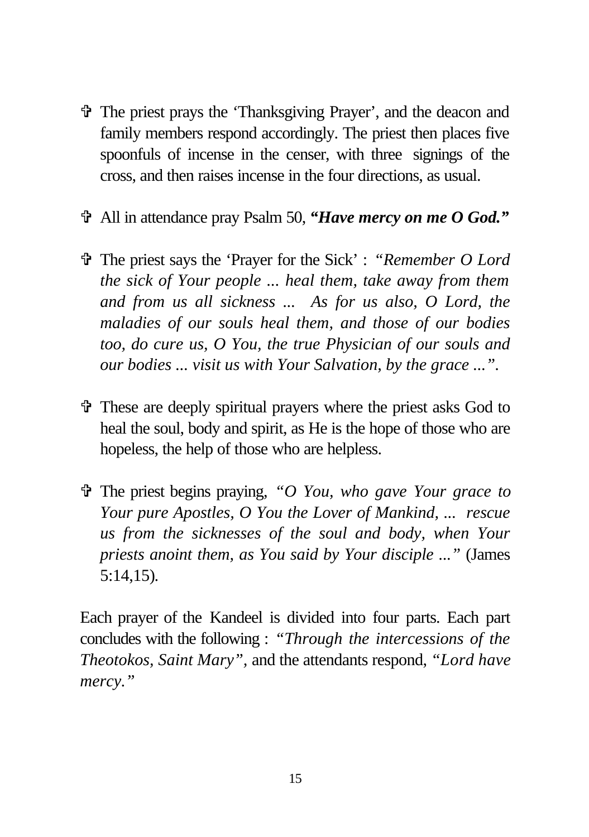- V The priest prays the 'Thanksgiving Prayer', and the deacon and family members respond accordingly. The priest then places five spoonfuls of incense in the censer, with three signings of the cross, and then raises incense in the four directions, as usual.
- V All in attendance pray Psalm 50, *"Have mercy on me O God."*
- V The priest says the 'Prayer for the Sick' : *"Remember O Lord the sick of Your people ... heal them, take away from them and from us all sickness ... As for us also, O Lord, the maladies of our souls heal them, and those of our bodies too, do cure us, O You, the true Physician of our souls and our bodies ... visit us with Your Salvation, by the grace ...".*
- V These are deeply spiritual prayers where the priest asks God to heal the soul, body and spirit, as He is the hope of those who are hopeless, the help of those who are helpless.
- V The priest begins praying, *"O You, who gave Your grace to Your pure Apostles, O You the Lover of Mankind, ... rescue us from the sicknesses of the soul and body, when Your priests anoint them, as You said by Your disciple ..."* (James 5:14,15)*.*

Each prayer of the Kandeel is divided into four parts. Each part concludes with the following : *"Through the intercessions of the Theotokos, Saint Mary",* and the attendants respond, *"Lord have mercy."*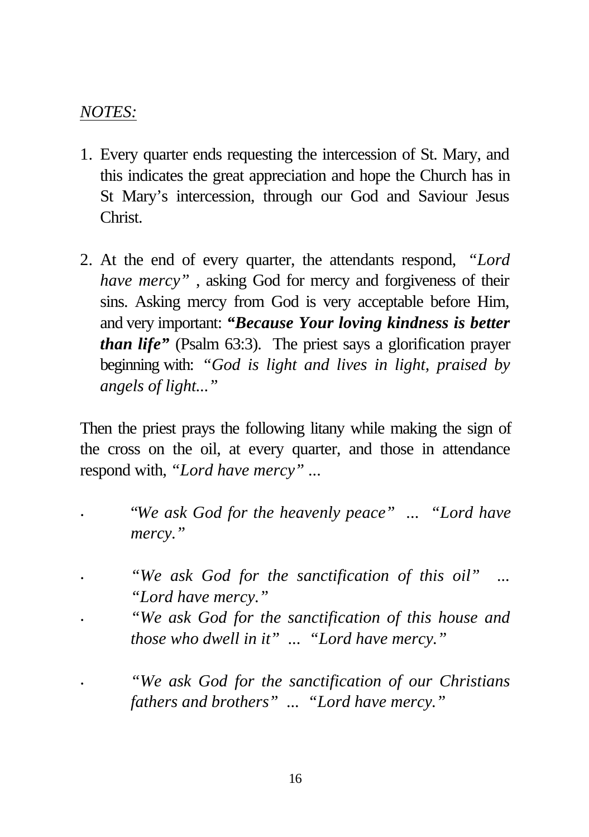#### *NOTES:*

- 1. Every quarter ends requesting the intercession of St. Mary, and this indicates the great appreciation and hope the Church has in St Mary's intercession, through our God and Saviour Jesus Christ.
- 2. At the end of every quarter, the attendants respond, *"Lord have mercy"* , asking God for mercy and forgiveness of their sins. Asking mercy from God is very acceptable before Him, and very important: *"Because Your loving kindness is better than life"* (Psalm 63:3). The priest says a glorification prayer beginning with: *"God is light and lives in light, praised by angels of light..."*

Then the priest prays the following litany while making the sign of the cross on the oil, at every quarter, and those in attendance respond with, *"Lord have mercy" ...*

> • "*We ask God for the heavenly peace" ... "Lord have mercy."*

- *"We ask God for the sanctification of this oil" ... "Lord have mercy."*
- *"We ask God for the sanctification of this house and those who dwell in it" ... "Lord have mercy."*
- *"We ask God for the sanctification of our Christians fathers and brothers" ... "Lord have mercy."*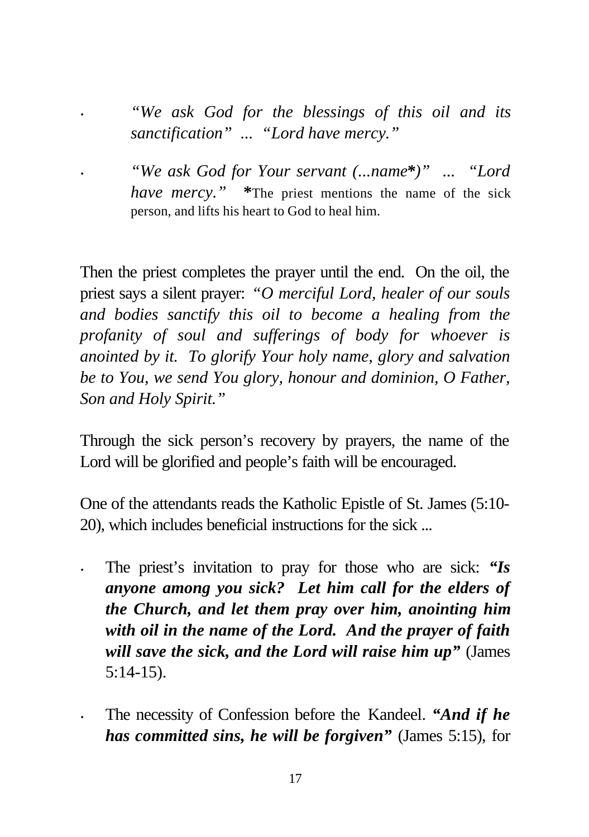• *"We ask God for the blessings of this oil and its sanctification" ... "Lord have mercy."*

• *"We ask God for Your servant (...name\*)" ... "Lord have mercy."* **\***The priest mentions the name of the sick person, and lifts his heart to God to heal him.

Then the priest completes the prayer until the end. On the oil, the priest says a silent prayer: *"O merciful Lord, healer of our souls and bodies sanctify this oil to become a healing from the profanity of soul and sufferings of body for whoever is anointed by it. To glorify Your holy name, glory and salvation be to You, we send You glory, honour and dominion, O Father, Son and Holy Spirit."*

Through the sick person's recovery by prayers, the name of the Lord will be glorified and people's faith will be encouraged.

One of the attendants reads the Katholic Epistle of St. James (5:10- 20), which includes beneficial instructions for the sick ...

- The priest's invitation to pray for those who are sick: *"Is anyone among you sick? Let him call for the elders of the Church, and let them pray over him, anointing him with oil in the name of the Lord. And the prayer of faith will save the sick, and the Lord will raise him up"* (James 5:14-15).
- The necessity of Confession before the Kandeel. *"And if he has committed sins, he will be forgiven"* (James 5:15), for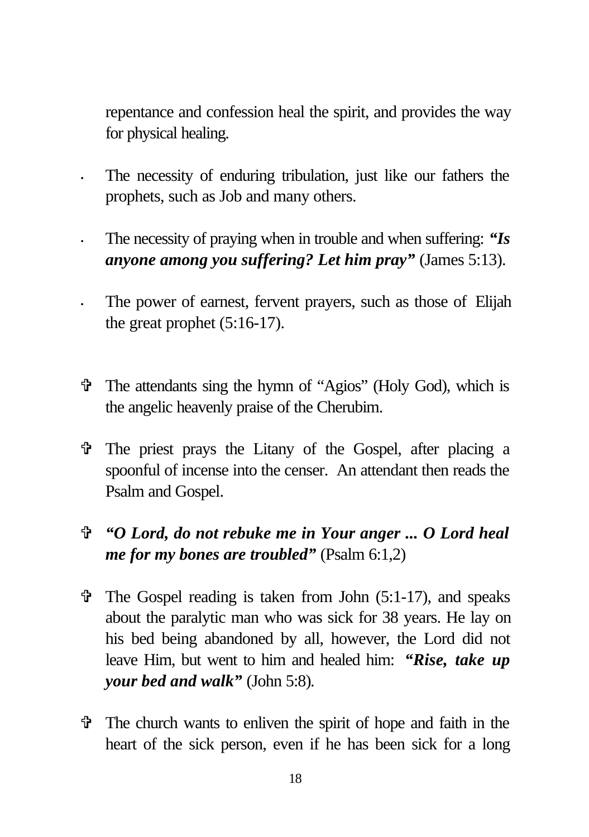repentance and confession heal the spirit, and provides the way for physical healing.

- The necessity of enduring tribulation, just like our fathers the prophets, such as Job and many others.
- The necessity of praying when in trouble and when suffering: *"Is anyone among you suffering? Let him pray"* (James 5:13).
- The power of earnest, fervent prayers, such as those of Elijah the great prophet (5:16-17).
- V The attendants sing the hymn of "Agios" (Holy God), which is the angelic heavenly praise of the Cherubim.
- V The priest prays the Litany of the Gospel, after placing a spoonful of incense into the censer. An attendant then reads the Psalm and Gospel.
- V *"O Lord, do not rebuke me in Your anger ... O Lord heal me for my bones are troubled"* (Psalm 6:1,2)
- $\hat{\tau}$  The Gospel reading is taken from John (5:1-17), and speaks about the paralytic man who was sick for 38 years. He lay on his bed being abandoned by all, however, the Lord did not leave Him, but went to him and healed him: *"Rise, take up your bed and walk"* (John 5:8)*.*
- $\hat{\tau}$  The church wants to enliven the spirit of hope and faith in the heart of the sick person, even if he has been sick for a long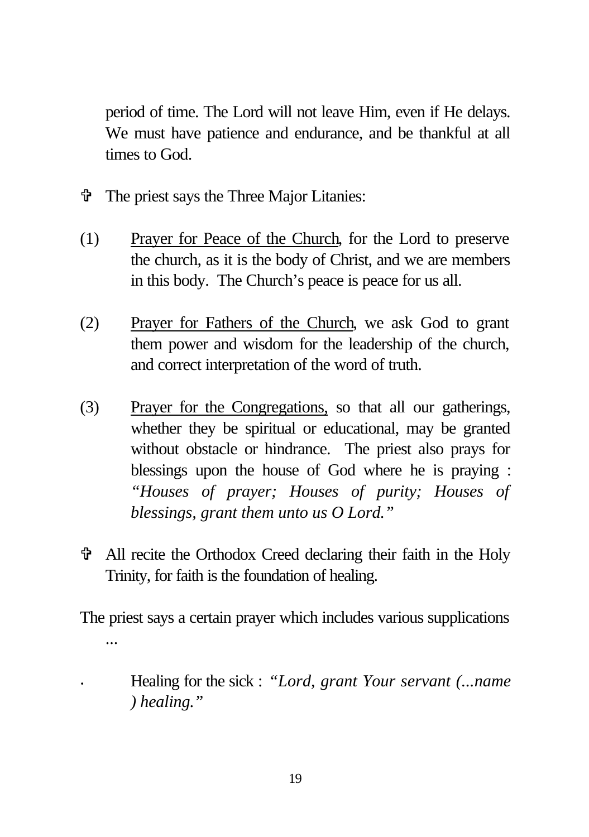period of time. The Lord will not leave Him, even if He delays. We must have patience and endurance, and be thankful at all times to God.

- V The priest says the Three Major Litanies:
- (1) Prayer for Peace of the Church, for the Lord to preserve the church, as it is the body of Christ, and we are members in this body. The Church's peace is peace for us all.
- (2) Prayer for Fathers of the Church, we ask God to grant them power and wisdom for the leadership of the church, and correct interpretation of the word of truth.
- (3) Prayer for the Congregations, so that all our gatherings, whether they be spiritual or educational, may be granted without obstacle or hindrance. The priest also prays for blessings upon the house of God where he is praying : *"Houses of prayer; Houses of purity; Houses of blessings, grant them unto us O Lord."*
- V All recite the Orthodox Creed declaring their faith in the Holy Trinity, for faith is the foundation of healing.

The priest says a certain prayer which includes various supplications ...

> • Healing for the sick : *"Lord, grant Your servant (...name ) healing."*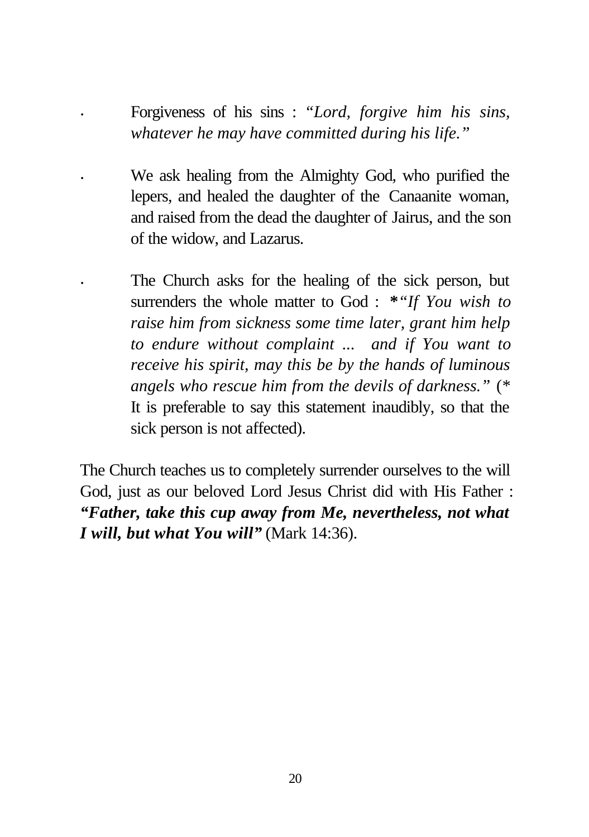- Forgiveness of his sins : *"Lord, forgive him his sins, whatever he may have committed during his life."*
- We ask healing from the Almighty God, who purified the lepers, and healed the daughter of the Canaanite woman, and raised from the dead the daughter of Jairus, and the son of the widow, and Lazarus.
- The Church asks for the healing of the sick person, but surrenders the whole matter to God : **\****"If You wish to raise him from sickness some time later, grant him help to endure without complaint ... and if You want to receive his spirit, may this be by the hands of luminous angels who rescue him from the devils of darkness."* (*\** It is preferable to say this statement inaudibly, so that the sick person is not affected).

The Church teaches us to completely surrender ourselves to the will God, just as our beloved Lord Jesus Christ did with His Father : *"Father, take this cup away from Me, nevertheless, not what I will, but what You will"* (Mark 14:36).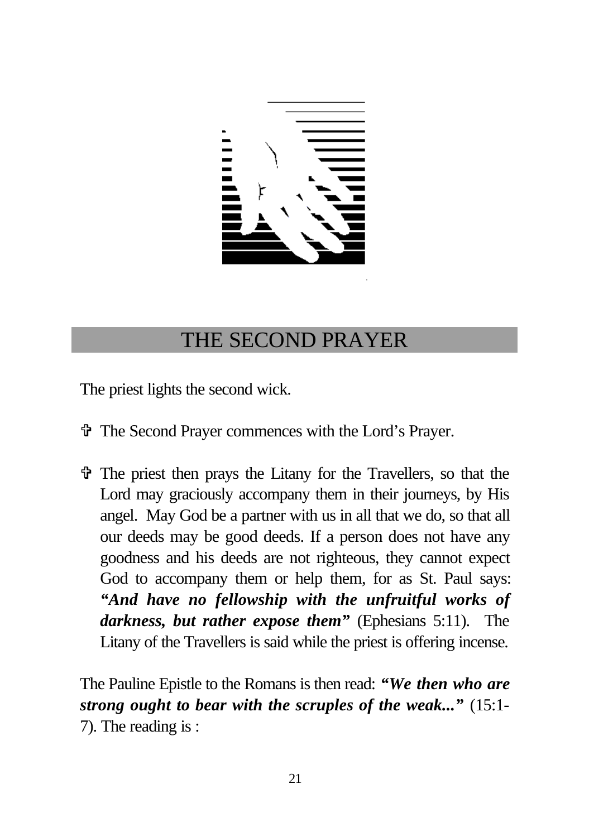

### THE SECOND PRAYER

The priest lights the second wick.

- V The Second Prayer commences with the Lord's Prayer.
- $\hat{\tau}$  The priest then prays the Litany for the Travellers, so that the Lord may graciously accompany them in their journeys, by His angel. May God be a partner with us in all that we do, so that all our deeds may be good deeds. If a person does not have any goodness and his deeds are not righteous, they cannot expect God to accompany them or help them, for as St. Paul says: *"And have no fellowship with the unfruitful works of darkness, but rather expose them"* (Ephesians 5:11). The Litany of the Travellers is said while the priest is offering incense.

The Pauline Epistle to the Romans is then read: *"We then who are strong ought to bear with the scruples of the weak..."* (15:1- 7). The reading is :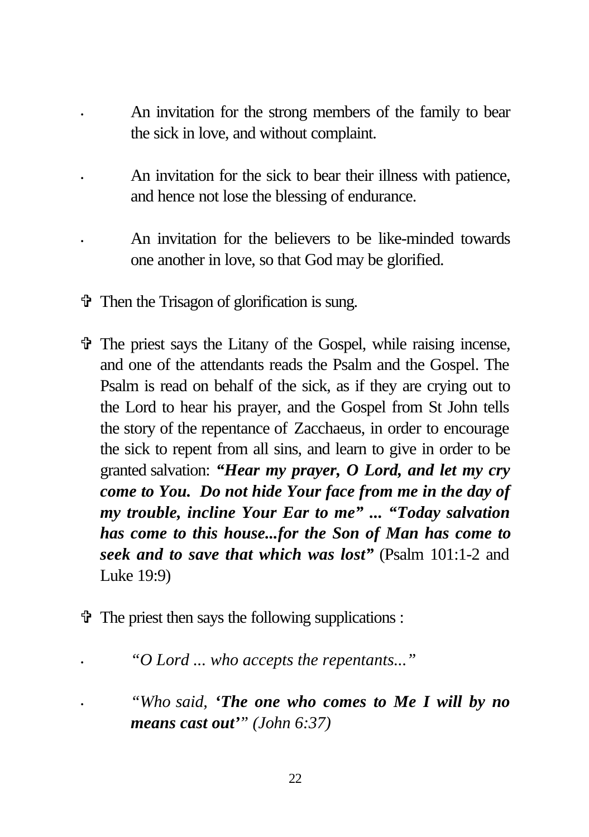- An invitation for the strong members of the family to bear the sick in love, and without complaint.
- An invitation for the sick to bear their illness with patience, and hence not lose the blessing of endurance.
- An invitation for the believers to be like-minded towards one another in love, so that God may be glorified.
- V Then the Trisagon of glorification is sung.
- $\hat{\tau}$  The priest says the Litany of the Gospel, while raising incense, and one of the attendants reads the Psalm and the Gospel. The Psalm is read on behalf of the sick, as if they are crying out to the Lord to hear his prayer, and the Gospel from St John tells the story of the repentance of Zacchaeus, in order to encourage the sick to repent from all sins, and learn to give in order to be granted salvation: *"Hear my prayer, O Lord, and let my cry come to You. Do not hide Your face from me in the day of my trouble, incline Your Ear to me" ... "Today salvation has come to this house...for the Son of Man has come to seek and to save that which was lost"* (Psalm 101:1-2 and Luke 19:9)
- $\ddot{\mathbf{v}}$  The priest then says the following supplications :

*· "O Lord ... who accepts the repentants..."*

*· "Who said, 'The one who comes to Me I will by no means cast out'" (John 6:37)*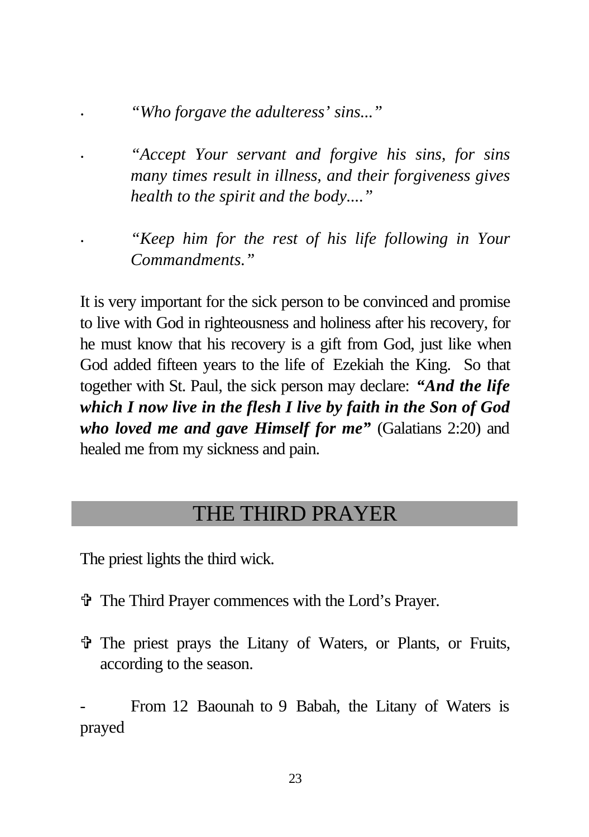*· "Who forgave the adulteress' sins..."*

*· "Accept Your servant and forgive his sins, for sins many times result in illness, and their forgiveness gives health to the spirit and the body...."*

*· "Keep him for the rest of his life following in Your Commandments."*

It is very important for the sick person to be convinced and promise to live with God in righteousness and holiness after his recovery, for he must know that his recovery is a gift from God, just like when God added fifteen years to the life of Ezekiah the King. So that together with St. Paul, the sick person may declare: *"And the life which I now live in the flesh I live by faith in the Son of God who loved me and gave Himself for me"* (Galatians 2:20) and healed me from my sickness and pain.

### THE THIRD PRAYER

The priest lights the third wick.

- V The Third Prayer commences with the Lord's Prayer.
- V The priest prays the Litany of Waters, or Plants, or Fruits, according to the season.

From 12 Baounah to 9 Babah, the Litany of Waters is prayed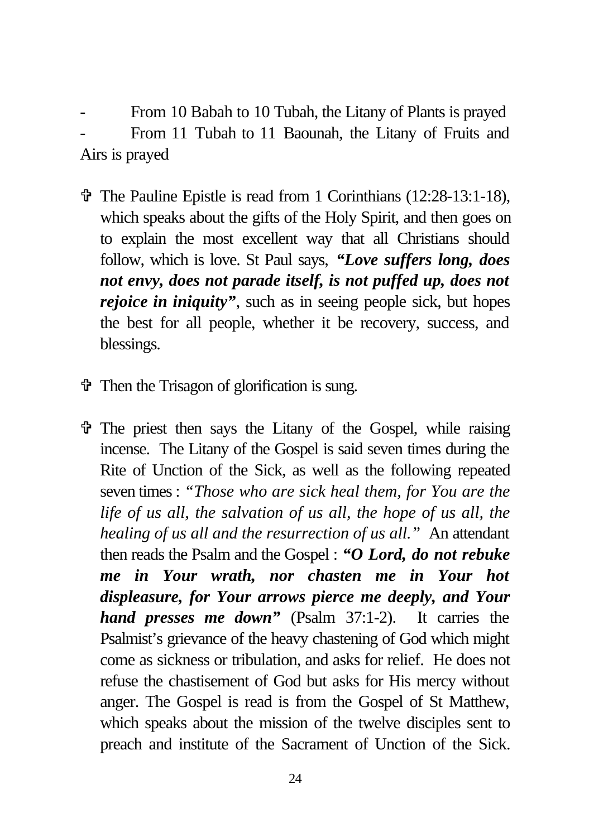From 10 Babah to 10 Tubah, the Litany of Plants is prayed From 11 Tubah to 11 Baounah, the Litany of Fruits and Airs is prayed

- V The Pauline Epistle is read from 1 Corinthians (12:28-13:1-18), which speaks about the gifts of the Holy Spirit, and then goes on to explain the most excellent way that all Christians should follow, which is love. St Paul says, *"Love suffers long, does not envy, does not parade itself, is not puffed up, does not rejoice in iniquity*", such as in seeing people sick, but hopes the best for all people, whether it be recovery, success, and blessings.
- V Then the Trisagon of glorification is sung.
- $\hat{\mathbf{\Phi}}$  The priest then says the Litany of the Gospel, while raising incense. The Litany of the Gospel is said seven times during the Rite of Unction of the Sick, as well as the following repeated seven times : *"Those who are sick heal them, for You are the life of us all, the salvation of us all, the hope of us all, the healing of us all and the resurrection of us all."* An attendant then reads the Psalm and the Gospel : *"O Lord, do not rebuke me in Your wrath, nor chasten me in Your hot displeasure, for Your arrows pierce me deeply, and Your hand presses me down"* (Psalm 37:1-2). It carries the Psalmist's grievance of the heavy chastening of God which might come as sickness or tribulation, and asks for relief. He does not refuse the chastisement of God but asks for His mercy without anger. The Gospel is read is from the Gospel of St Matthew, which speaks about the mission of the twelve disciples sent to preach and institute of the Sacrament of Unction of the Sick.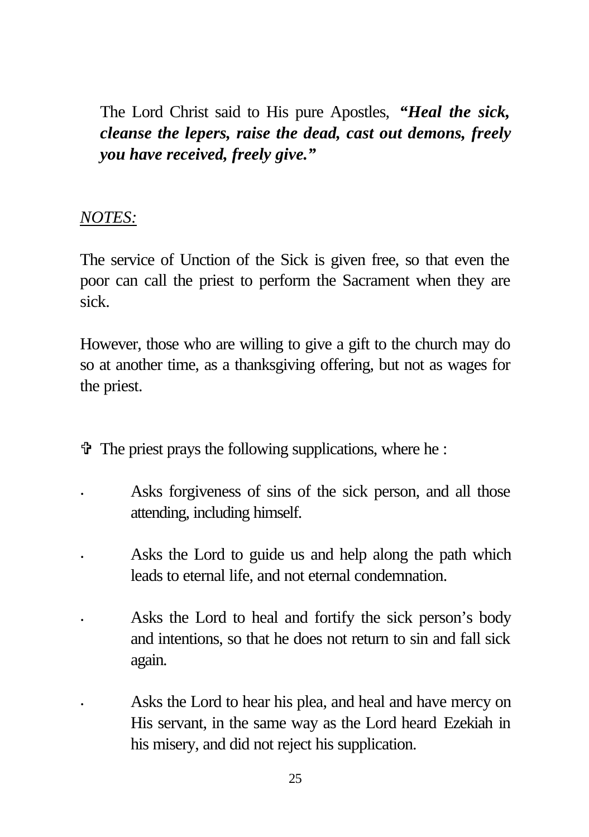The Lord Christ said to His pure Apostles, *"Heal the sick, cleanse the lepers, raise the dead, cast out demons, freely you have received, freely give."*

#### *NOTES:*

The service of Unction of the Sick is given free, so that even the poor can call the priest to perform the Sacrament when they are sick.

However, those who are willing to give a gift to the church may do so at another time, as a thanksgiving offering, but not as wages for the priest.

 $\ddot{\mathbf{r}}$  The priest prays the following supplications, where he :

- Asks forgiveness of sins of the sick person, and all those attending, including himself.
- Asks the Lord to guide us and help along the path which leads to eternal life, and not eternal condemnation.
- Asks the Lord to heal and fortify the sick person's body and intentions, so that he does not return to sin and fall sick again.
- Asks the Lord to hear his plea, and heal and have mercy on His servant, in the same way as the Lord heard Ezekiah in his misery, and did not reject his supplication.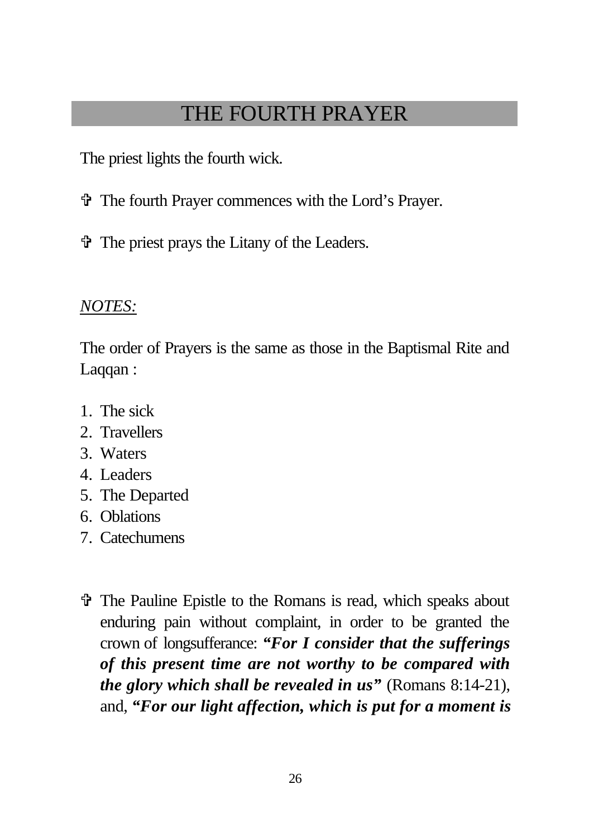### THE FOURTH PRAYER

The priest lights the fourth wick.

- V The fourth Prayer commences with the Lord's Prayer.
- V The priest prays the Litany of the Leaders.

### *NOTES:*

The order of Prayers is the same as those in the Baptismal Rite and Laqqan :

- 1. The sick
- 2. Travellers
- 3. Waters
- 4. Leaders
- 5. The Departed
- 6. Oblations
- 7. Catechumens
- V The Pauline Epistle to the Romans is read, which speaks about enduring pain without complaint, in order to be granted the crown of longsufferance: *"For I consider that the sufferings of this present time are not worthy to be compared with the glory which shall be revealed in us"* (Romans 8:14-21), and, *"For our light affection, which is put for a moment is*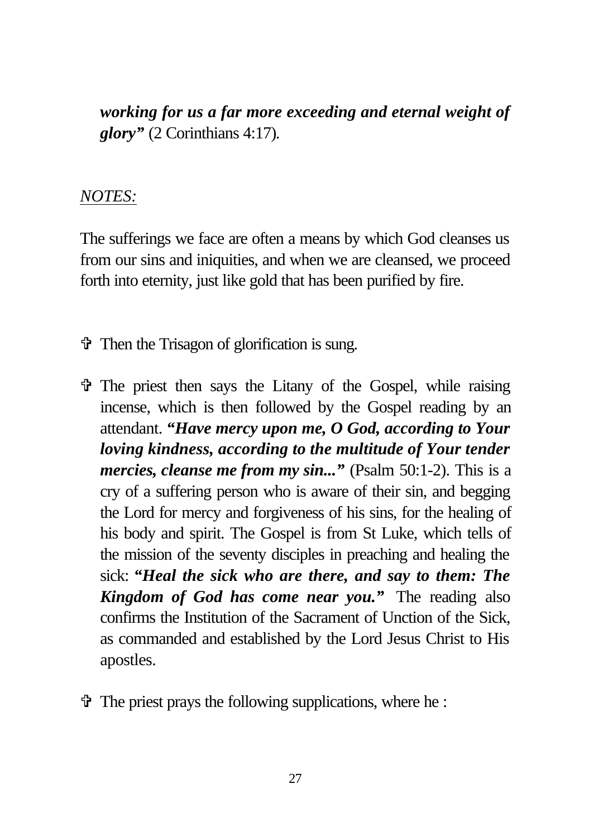*working for us a far more exceeding and eternal weight of glory"* (2 Corinthians 4:17)*.*

#### *NOTES:*

The sufferings we face are often a means by which God cleanses us from our sins and iniquities, and when we are cleansed, we proceed forth into eternity, just like gold that has been purified by fire.

- V Then the Trisagon of glorification is sung.
- $\hat{\tau}$  The priest then says the Litany of the Gospel, while raising incense, which is then followed by the Gospel reading by an attendant. *"Have mercy upon me, O God, according to Your loving kindness, according to the multitude of Your tender mercies, cleanse me from my sin..."* (Psalm 50:1-2). This is a cry of a suffering person who is aware of their sin, and begging the Lord for mercy and forgiveness of his sins, for the healing of his body and spirit. The Gospel is from St Luke, which tells of the mission of the seventy disciples in preaching and healing the sick: *"Heal the sick who are there, and say to them: The Kingdom of God has come near you."* The reading also confirms the Institution of the Sacrament of Unction of the Sick, as commanded and established by the Lord Jesus Christ to His apostles.
- $\hat{\mathbf{\Phi}}$  The priest prays the following supplications, where he :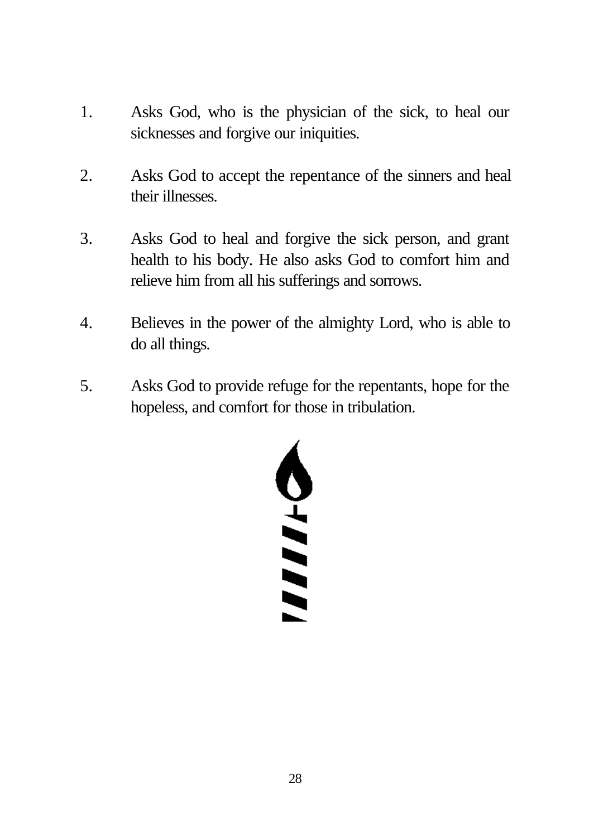- 1. Asks God, who is the physician of the sick, to heal our sicknesses and forgive our iniquities.
- 2. Asks God to accept the repentance of the sinners and heal their illnesses.
- 3. Asks God to heal and forgive the sick person, and grant health to his body. He also asks God to comfort him and relieve him from all his sufferings and sorrows.
- 4. Believes in the power of the almighty Lord, who is able to do all things.
- 5. Asks God to provide refuge for the repentants, hope for the hopeless, and comfort for those in tribulation.

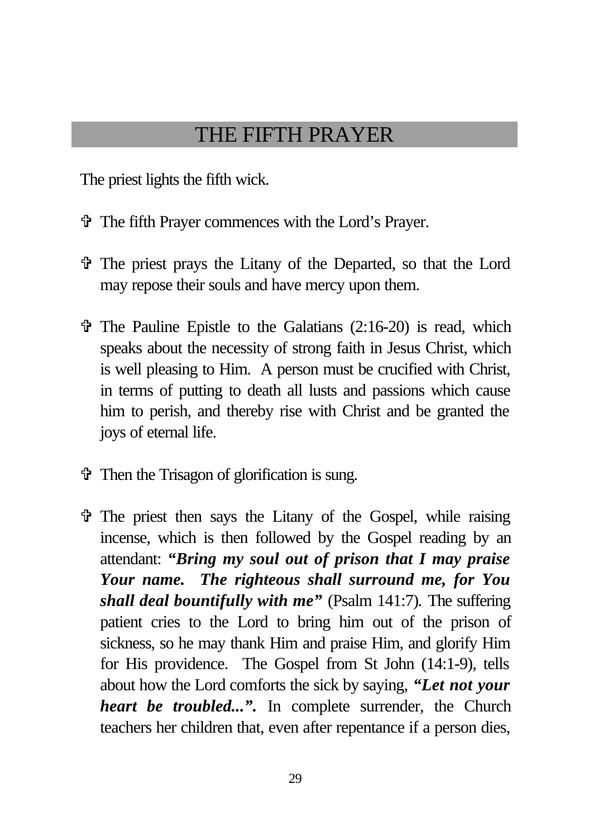### THE FIFTH PRAYER

The priest lights the fifth wick.

- V The fifth Prayer commences with the Lord's Prayer.
- V The priest prays the Litany of the Departed, so that the Lord may repose their souls and have mercy upon them.
- $\hat{\mathbf{\Phi}}$  The Pauline Epistle to the Galatians (2:16-20) is read, which speaks about the necessity of strong faith in Jesus Christ, which is well pleasing to Him. A person must be crucified with Christ, in terms of putting to death all lusts and passions which cause him to perish, and thereby rise with Christ and be granted the joys of eternal life.
- V Then the Trisagon of glorification is sung.
- V The priest then says the Litany of the Gospel, while raising incense, which is then followed by the Gospel reading by an attendant: *"Bring my soul out of prison that I may praise Your name. The righteous shall surround me, for You shall deal bountifully with me"* (Psalm 141:7)*.* The suffering patient cries to the Lord to bring him out of the prison of sickness, so he may thank Him and praise Him, and glorify Him for His providence. The Gospel from St John (14:1-9), tells about how the Lord comforts the sick by saying, *"Let not your heart be troubled...*". In complete surrender, the Church teachers her children that, even after repentance if a person dies,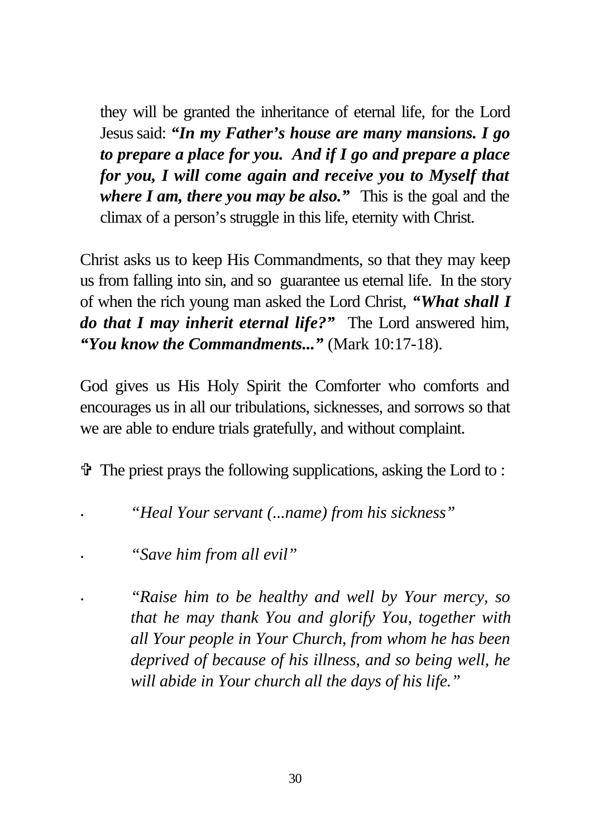they will be granted the inheritance of eternal life, for the Lord Jesus said: *"In my Father's house are many mansions. I go to prepare a place for you. And if I go and prepare a place for you, I will come again and receive you to Myself that where I am, there you may be also."* This is the goal and the climax of a person's struggle in this life, eternity with Christ.

Christ asks us to keep His Commandments, so that they may keep us from falling into sin, and so guarantee us eternal life. In the story of when the rich young man asked the Lord Christ, *"What shall I do that I may inherit eternal life?"* The Lord answered him, *"You know the Commandments..."* (Mark 10:17-18).

God gives us His Holy Spirit the Comforter who comforts and encourages us in all our tribulations, sicknesses, and sorrows so that we are able to endure trials gratefully, and without complaint.

 $\hat{\mathbf{\Phi}}$  The priest prays the following supplications, asking the Lord to:

*· "Heal Your servant (...name) from his sickness"*

*· "Save him from all evil"*

*· "Raise him to be healthy and well by Your mercy, so that he may thank You and glorify You, together with all Your people in Your Church, from whom he has been deprived of because of his illness, and so being well, he will abide in Your church all the days of his life."*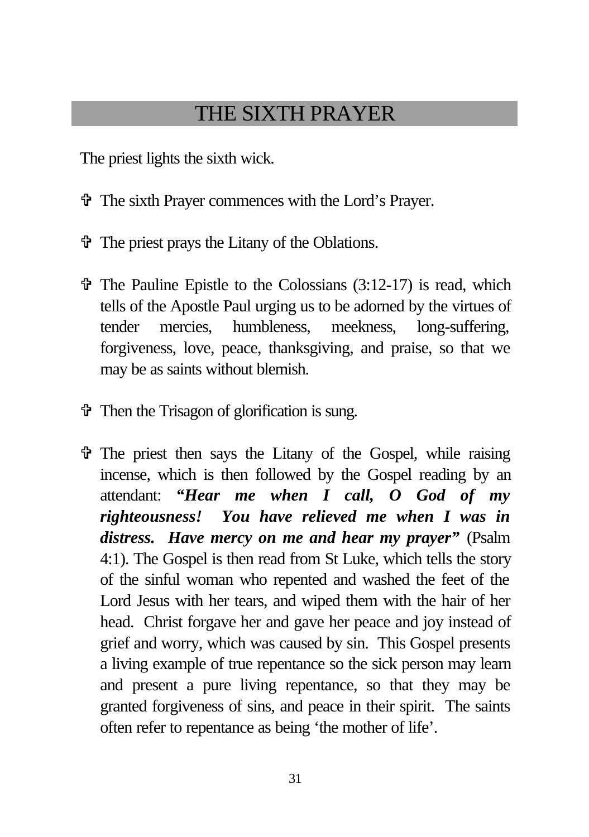### THE SIXTH PRAYER

The priest lights the sixth wick.

- V The sixth Prayer commences with the Lord's Prayer.
- V The priest prays the Litany of the Oblations.
- $\hat{\mathbf{\tau}}$  The Pauline Epistle to the Colossians (3:12-17) is read, which tells of the Apostle Paul urging us to be adorned by the virtues of tender mercies, humbleness, meekness, long-suffering, forgiveness, love, peace, thanksgiving, and praise, so that we may be as saints without blemish.
- V Then the Trisagon of glorification is sung.
- $\hat{\tau}$  The priest then says the Litany of the Gospel, while raising incense, which is then followed by the Gospel reading by an attendant: *"Hear me when I call, O God of my righteousness! You have relieved me when I was in distress. Have mercy on me and hear my prayer"* (Psalm 4:1). The Gospel is then read from St Luke, which tells the story of the sinful woman who repented and washed the feet of the Lord Jesus with her tears, and wiped them with the hair of her head. Christ forgave her and gave her peace and joy instead of grief and worry, which was caused by sin. This Gospel presents a living example of true repentance so the sick person may learn and present a pure living repentance, so that they may be granted forgiveness of sins, and peace in their spirit. The saints often refer to repentance as being 'the mother of life'.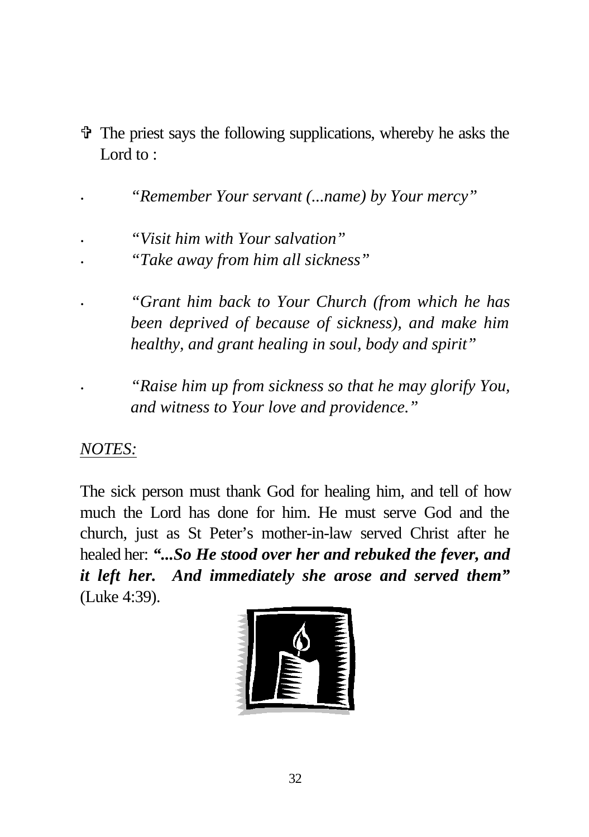$\hat{\mathbf{\Phi}}$  The priest says the following supplications, whereby he asks the Lord to :

*· "Remember Your servant (...name) by Your mercy"*

*· "Visit him with Your salvation" · "Take away from him all sickness"*

*· "Grant him back to Your Church (from which he has been deprived of because of sickness), and make him healthy, and grant healing in soul, body and spirit"*

*· "Raise him up from sickness so that he may glorify You, and witness to Your love and providence."*

#### *NOTES:*

The sick person must thank God for healing him, and tell of how much the Lord has done for him. He must serve God and the church, just as St Peter's mother-in-law served Christ after he healed her: *"...So He stood over her and rebuked the fever, and it left her. And immediately she arose and served them"* (Luke 4:39).

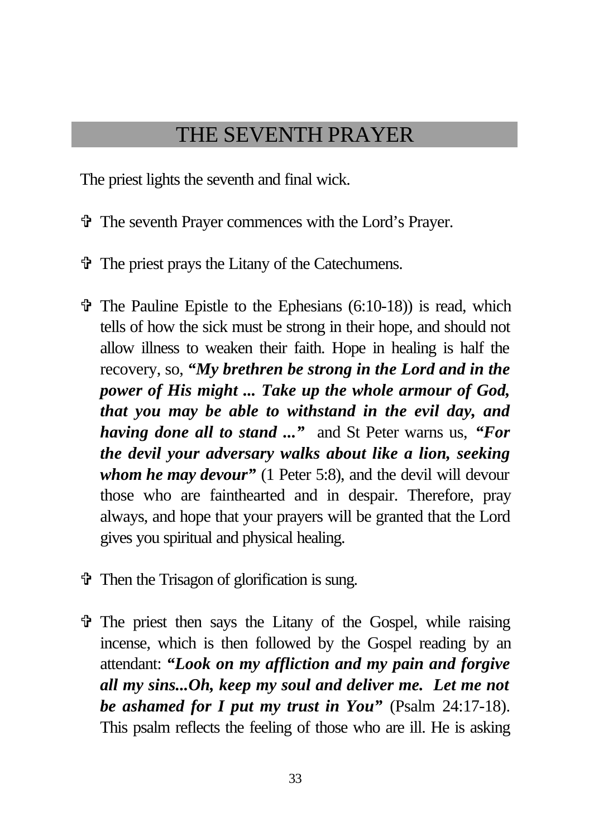### THE SEVENTH PRAYER

The priest lights the seventh and final wick.

- V The seventh Prayer commences with the Lord's Prayer.
- V The priest prays the Litany of the Catechumens.
- $\hat{\mathbf{\Phi}}$  The Pauline Epistle to the Ephesians (6:10-18)) is read, which tells of how the sick must be strong in their hope, and should not allow illness to weaken their faith. Hope in healing is half the recovery, so, *"My brethren be strong in the Lord and in the power of His might ... Take up the whole armour of God, that you may be able to withstand in the evil day, and having done all to stand ..."* and St Peter warns us, *"For the devil your adversary walks about like a lion, seeking whom he may devour"* (1 Peter 5:8), and the devil will devour those who are fainthearted and in despair. Therefore, pray always, and hope that your prayers will be granted that the Lord gives you spiritual and physical healing.
- V Then the Trisagon of glorification is sung.
- V The priest then says the Litany of the Gospel, while raising incense, which is then followed by the Gospel reading by an attendant: *"Look on my affliction and my pain and forgive all my sins...Oh, keep my soul and deliver me. Let me not be ashamed for I put my trust in You"* (Psalm 24:17-18). This psalm reflects the feeling of those who are ill. He is asking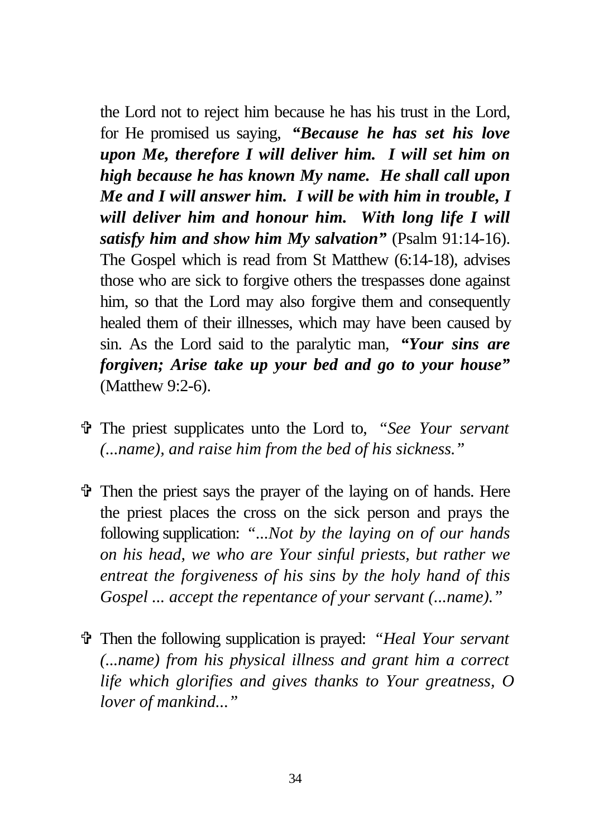the Lord not to reject him because he has his trust in the Lord, for He promised us saying, *"Because he has set his love upon Me, therefore I will deliver him. I will set him on high because he has known My name. He shall call upon Me and I will answer him. I will be with him in trouble, I will deliver him and honour him. With long life I will satisfy him and show him My salvation"* (Psalm 91:14-16). The Gospel which is read from St Matthew (6:14-18), advises those who are sick to forgive others the trespasses done against him, so that the Lord may also forgive them and consequently healed them of their illnesses, which may have been caused by sin. As the Lord said to the paralytic man, *"Your sins are forgiven; Arise take up your bed and go to your house"* (Matthew 9:2-6).

- V The priest supplicates unto the Lord to, *"See Your servant (...name), and raise him from the bed of his sickness."*
- $\hat{\mathbf{\Phi}}$  Then the priest says the prayer of the laying on of hands. Here the priest places the cross on the sick person and prays the following supplication: *"...Not by the laying on of our hands on his head, we who are Your sinful priests, but rather we entreat the forgiveness of his sins by the holy hand of this Gospel ... accept the repentance of your servant (...name)."*
- V Then the following supplication is prayed: *"Heal Your servant (...name) from his physical illness and grant him a correct life which glorifies and gives thanks to Your greatness, O lover of mankind..."*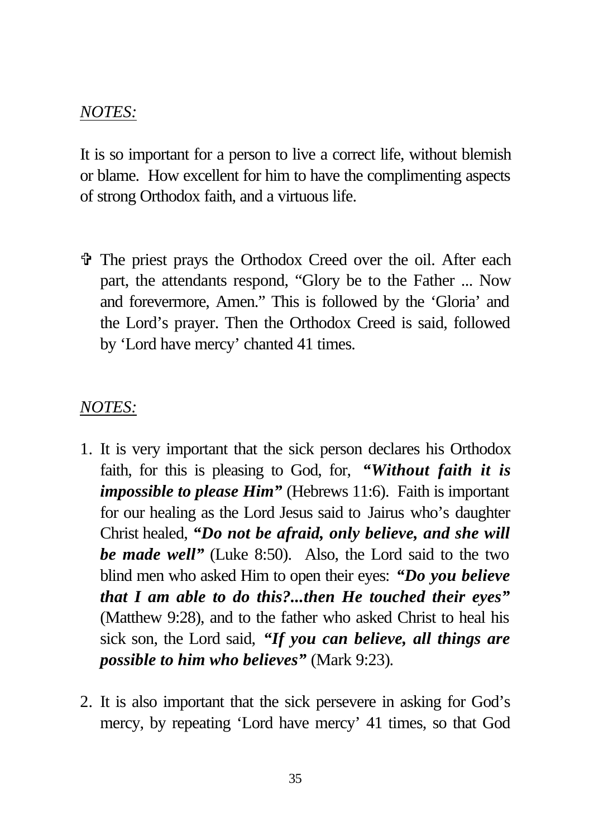#### *NOTES:*

It is so important for a person to live a correct life, without blemish or blame. How excellent for him to have the complimenting aspects of strong Orthodox faith, and a virtuous life.

V The priest prays the Orthodox Creed over the oil. After each part, the attendants respond, "Glory be to the Father ... Now and forevermore, Amen." This is followed by the 'Gloria' and the Lord's prayer. Then the Orthodox Creed is said, followed by 'Lord have mercy' chanted 41 times.

#### *NOTES:*

- 1. It is very important that the sick person declares his Orthodox faith, for this is pleasing to God, for, *"Without faith it is impossible to please Him"* (Hebrews 11:6). Faith is important for our healing as the Lord Jesus said to Jairus who's daughter Christ healed, *"Do not be afraid, only believe, and she will be made well"* (Luke 8:50). Also, the Lord said to the two blind men who asked Him to open their eyes: *"Do you believe that I am able to do this?...then He touched their eyes"* (Matthew 9:28), and to the father who asked Christ to heal his sick son, the Lord said, *"If you can believe, all things are possible to him who believes"* (Mark 9:23)*.*
- 2. It is also important that the sick persevere in asking for God's mercy, by repeating 'Lord have mercy' 41 times, so that God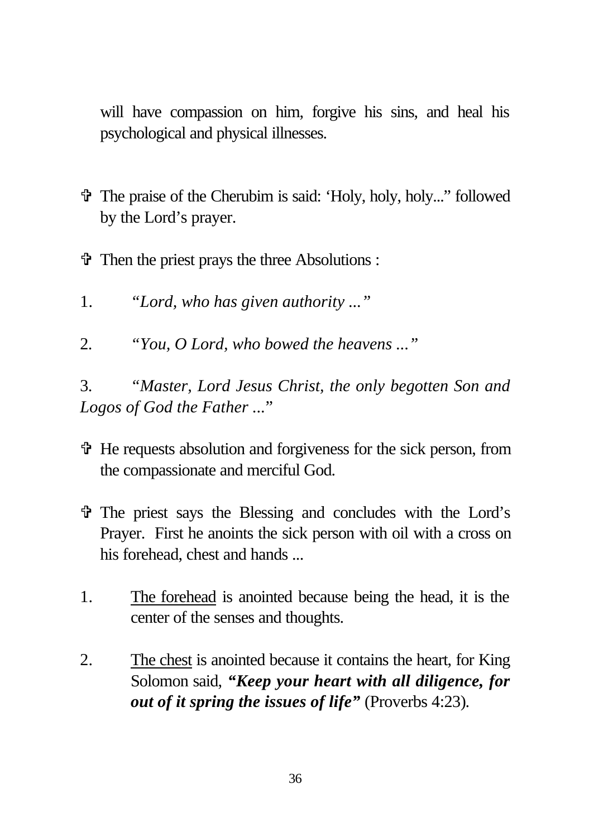will have compassion on him, forgive his sins, and heal his psychological and physical illnesses.

- V The praise of the Cherubim is said: 'Holy, holy, holy..." followed by the Lord's prayer.
- $\hat{\mathbf{\Phi}}$  Then the priest prays the three Absolutions :
- 1. *"Lord, who has given authority ..."*
- 2*. "You, O Lord, who bowed the heavens ..."*

3*. "Master, Lord Jesus Christ, the only begotten Son and Logos of God the Father ...*"

- V He requests absolution and forgiveness for the sick person, from the compassionate and merciful God.
- $\hat{\tau}$  The priest says the Blessing and concludes with the Lord's Prayer. First he anoints the sick person with oil with a cross on his forehead, chest and hands ...
- 1. The forehead is anointed because being the head, it is the center of the senses and thoughts.
- 2. The chest is anointed because it contains the heart, for King Solomon said, *"Keep your heart with all diligence, for out of it spring the issues of life"* (Proverbs 4:23)*.*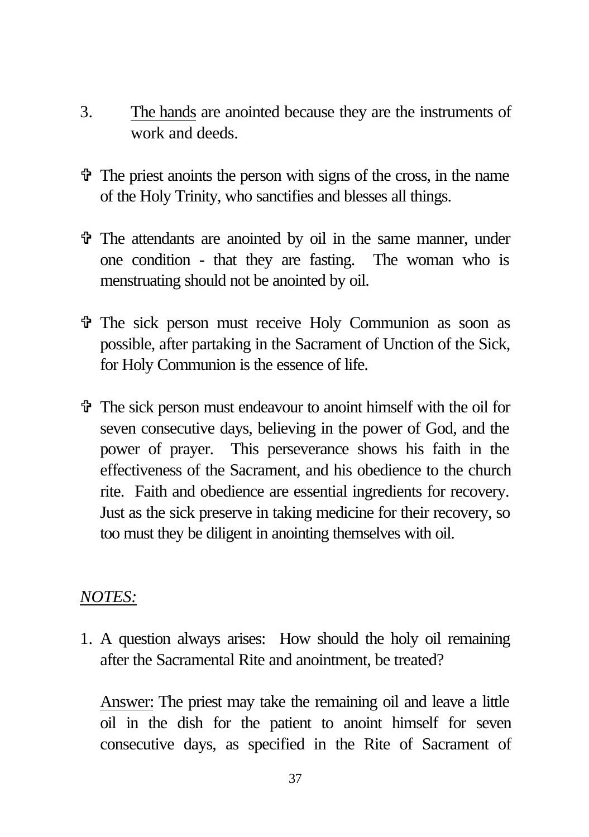- 3. The hands are anointed because they are the instruments of work and deeds.
- $\ddot{\mathbf{v}}$  The priest anoints the person with signs of the cross, in the name of the Holy Trinity, who sanctifies and blesses all things.
- V The attendants are anointed by oil in the same manner, under one condition - that they are fasting. The woman who is menstruating should not be anointed by oil.
- V The sick person must receive Holy Communion as soon as possible, after partaking in the Sacrament of Unction of the Sick, for Holy Communion is the essence of life.
- $\hat{\mathbf{\Phi}}$  The sick person must endeavour to anoint himself with the oil for seven consecutive days, believing in the power of God, and the power of prayer. This perseverance shows his faith in the effectiveness of the Sacrament, and his obedience to the church rite. Faith and obedience are essential ingredients for recovery. Just as the sick preserve in taking medicine for their recovery, so too must they be diligent in anointing themselves with oil.

#### *NOTES:*

1. A question always arises: How should the holy oil remaining after the Sacramental Rite and anointment, be treated?

Answer: The priest may take the remaining oil and leave a little oil in the dish for the patient to anoint himself for seven consecutive days, as specified in the Rite of Sacrament of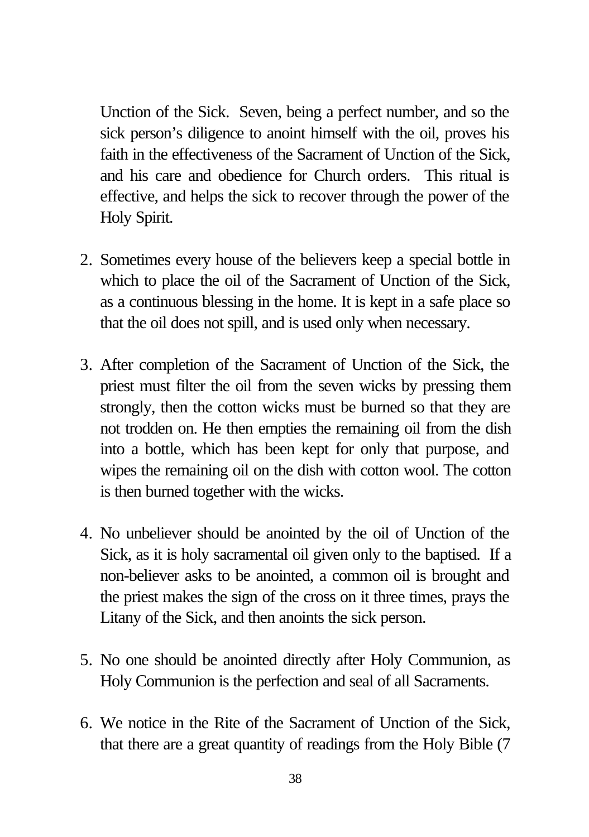Unction of the Sick. Seven, being a perfect number, and so the sick person's diligence to anoint himself with the oil, proves his faith in the effectiveness of the Sacrament of Unction of the Sick, and his care and obedience for Church orders. This ritual is effective, and helps the sick to recover through the power of the Holy Spirit.

- 2. Sometimes every house of the believers keep a special bottle in which to place the oil of the Sacrament of Unction of the Sick, as a continuous blessing in the home. It is kept in a safe place so that the oil does not spill, and is used only when necessary.
- 3. After completion of the Sacrament of Unction of the Sick, the priest must filter the oil from the seven wicks by pressing them strongly, then the cotton wicks must be burned so that they are not trodden on. He then empties the remaining oil from the dish into a bottle, which has been kept for only that purpose, and wipes the remaining oil on the dish with cotton wool. The cotton is then burned together with the wicks.
- 4. No unbeliever should be anointed by the oil of Unction of the Sick, as it is holy sacramental oil given only to the baptised. If a non-believer asks to be anointed, a common oil is brought and the priest makes the sign of the cross on it three times, prays the Litany of the Sick, and then anoints the sick person.
- 5. No one should be anointed directly after Holy Communion, as Holy Communion is the perfection and seal of all Sacraments.
- 6. We notice in the Rite of the Sacrament of Unction of the Sick, that there are a great quantity of readings from the Holy Bible (7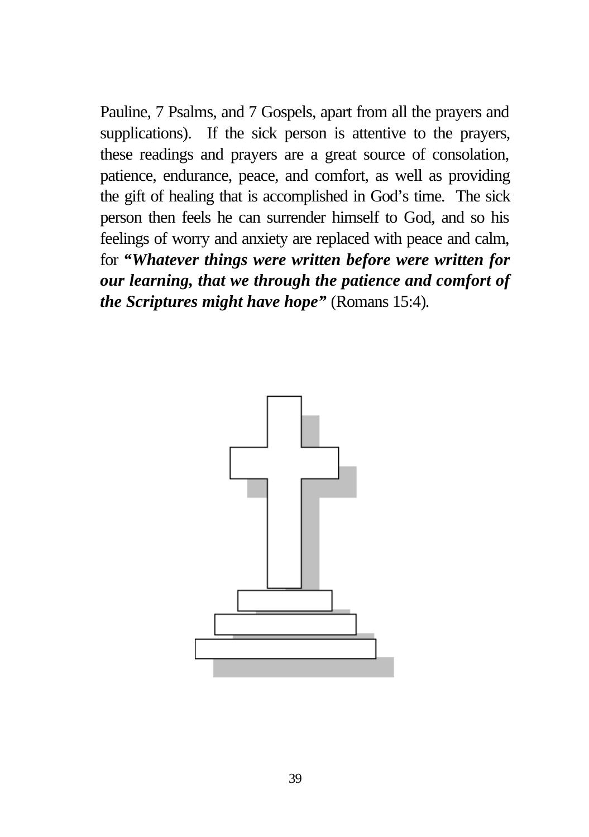Pauline, 7 Psalms, and 7 Gospels, apart from all the prayers and supplications). If the sick person is attentive to the prayers, these readings and prayers are a great source of consolation, patience, endurance, peace, and comfort, as well as providing the gift of healing that is accomplished in God's time. The sick person then feels he can surrender himself to God, and so his feelings of worry and anxiety are replaced with peace and calm, for *"Whatever things were written before were written for our learning, that we through the patience and comfort of the Scriptures might have hope"* (Romans 15:4)*.*

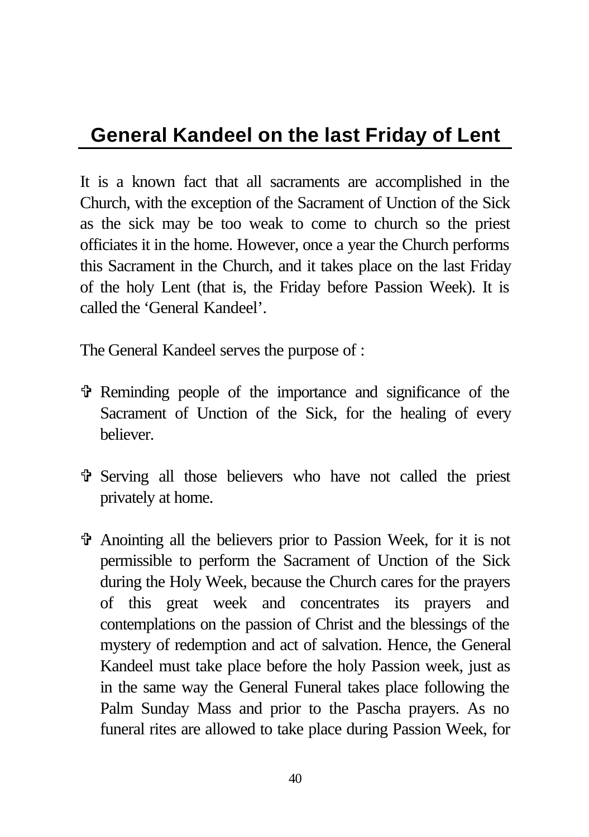## **General Kandeel on the last Friday of Lent**

It is a known fact that all sacraments are accomplished in the Church, with the exception of the Sacrament of Unction of the Sick as the sick may be too weak to come to church so the priest officiates it in the home. However, once a year the Church performs this Sacrament in the Church, and it takes place on the last Friday of the holy Lent (that is, the Friday before Passion Week). It is called the 'General Kandeel'.

The General Kandeel serves the purpose of :

- V Reminding people of the importance and significance of the Sacrament of Unction of the Sick, for the healing of every believer.
- V Serving all those believers who have not called the priest privately at home.
- V Anointing all the believers prior to Passion Week, for it is not permissible to perform the Sacrament of Unction of the Sick during the Holy Week, because the Church cares for the prayers of this great week and concentrates its prayers and contemplations on the passion of Christ and the blessings of the mystery of redemption and act of salvation. Hence, the General Kandeel must take place before the holy Passion week, just as in the same way the General Funeral takes place following the Palm Sunday Mass and prior to the Pascha prayers. As no funeral rites are allowed to take place during Passion Week, for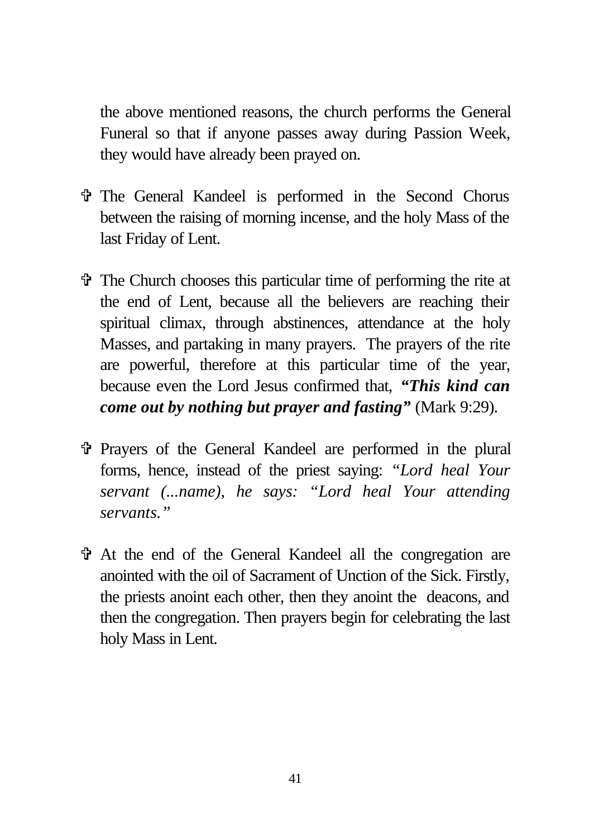the above mentioned reasons, the church performs the General Funeral so that if anyone passes away during Passion Week, they would have already been prayed on.

- V The General Kandeel is performed in the Second Chorus between the raising of morning incense, and the holy Mass of the last Friday of Lent.
- $\ddot{\mathbf{v}}$  The Church chooses this particular time of performing the rite at the end of Lent, because all the believers are reaching their spiritual climax, through abstinences, attendance at the holy Masses, and partaking in many prayers. The prayers of the rite are powerful, therefore at this particular time of the year, because even the Lord Jesus confirmed that, *"This kind can come out by nothing but prayer and fasting"* (Mark 9:29)*.*
- V Prayers of the General Kandeel are performed in the plural forms, hence, instead of the priest saying: *"Lord heal Your servant (...name), he says: "Lord heal Your attending servants."*
- V At the end of the General Kandeel all the congregation are anointed with the oil of Sacrament of Unction of the Sick. Firstly, the priests anoint each other, then they anoint the deacons, and then the congregation. Then prayers begin for celebrating the last holy Mass in Lent.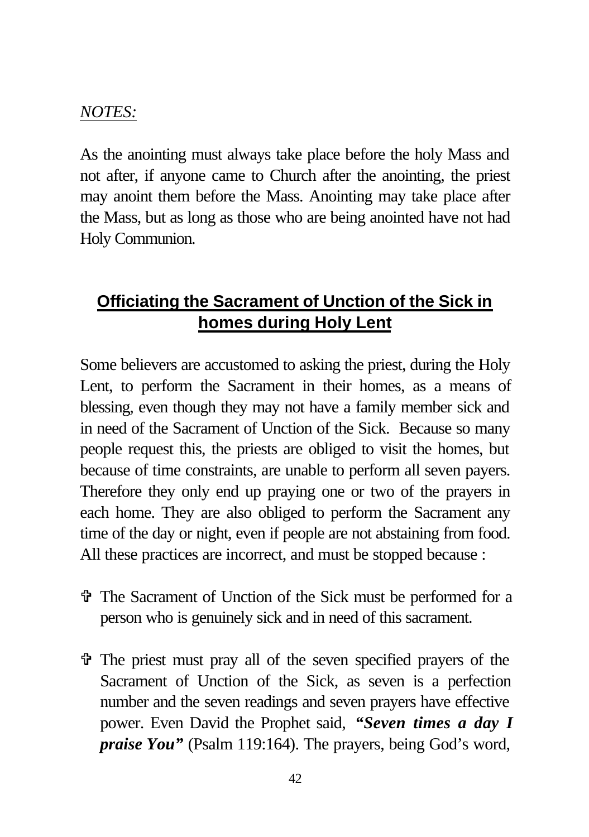#### *NOTES:*

As the anointing must always take place before the holy Mass and not after, if anyone came to Church after the anointing, the priest may anoint them before the Mass. Anointing may take place after the Mass, but as long as those who are being anointed have not had Holy Communion.

### **Officiating the Sacrament of Unction of the Sick in homes during Holy Lent**

Some believers are accustomed to asking the priest, during the Holy Lent, to perform the Sacrament in their homes, as a means of blessing, even though they may not have a family member sick and in need of the Sacrament of Unction of the Sick. Because so many people request this, the priests are obliged to visit the homes, but because of time constraints, are unable to perform all seven payers. Therefore they only end up praying one or two of the prayers in each home. They are also obliged to perform the Sacrament any time of the day or night, even if people are not abstaining from food. All these practices are incorrect, and must be stopped because :

- V The Sacrament of Unction of the Sick must be performed for a person who is genuinely sick and in need of this sacrament.
- V The priest must pray all of the seven specified prayers of the Sacrament of Unction of the Sick, as seven is a perfection number and the seven readings and seven prayers have effective power. Even David the Prophet said, *"Seven times a day I praise You"* (Psalm 119:164). The prayers, being God's word,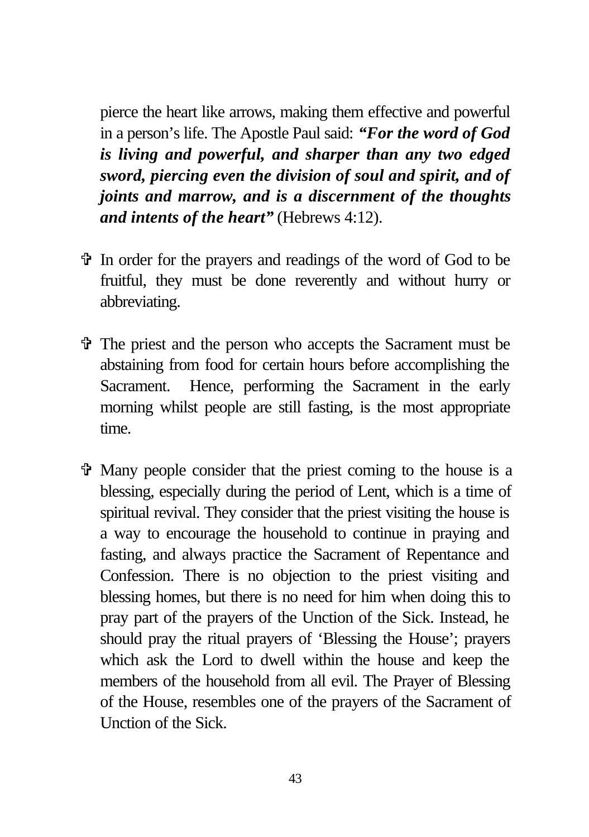pierce the heart like arrows, making them effective and powerful in a person's life. The Apostle Paul said: *"For the word of God is living and powerful, and sharper than any two edged sword, piercing even the division of soul and spirit, and of joints and marrow, and is a discernment of the thoughts and intents of the heart"* (Hebrews 4:12).

- V In order for the prayers and readings of the word of God to be fruitful, they must be done reverently and without hurry or abbreviating.
- V The priest and the person who accepts the Sacrament must be abstaining from food for certain hours before accomplishing the Sacrament. Hence, performing the Sacrament in the early morning whilst people are still fasting, is the most appropriate time.
- $\hat{\mathbf{\Phi}}$  Many people consider that the priest coming to the house is a blessing, especially during the period of Lent, which is a time of spiritual revival. They consider that the priest visiting the house is a way to encourage the household to continue in praying and fasting, and always practice the Sacrament of Repentance and Confession. There is no objection to the priest visiting and blessing homes, but there is no need for him when doing this to pray part of the prayers of the Unction of the Sick. Instead, he should pray the ritual prayers of 'Blessing the House'; prayers which ask the Lord to dwell within the house and keep the members of the household from all evil. The Prayer of Blessing of the House, resembles one of the prayers of the Sacrament of Unction of the Sick.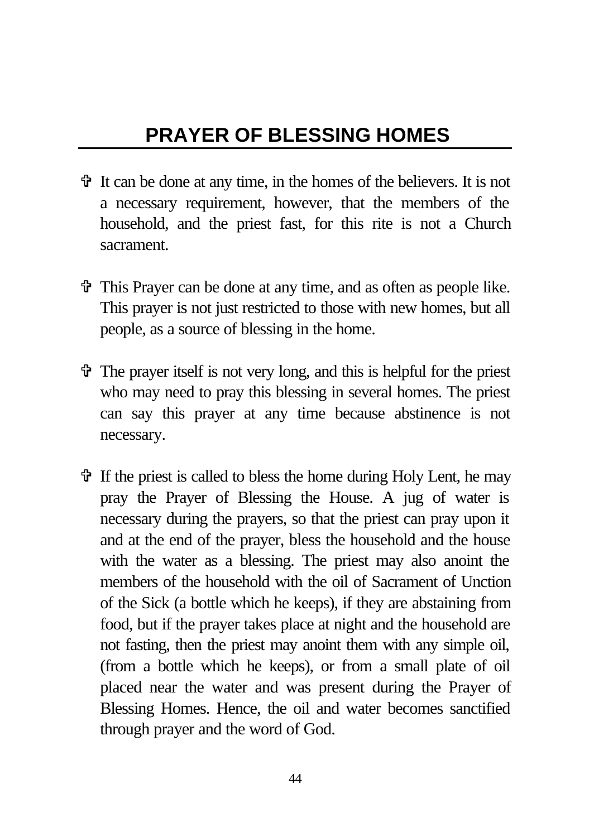## **PRAYER OF BLESSING HOMES**

- $\ddot{\mathbf{v}}$  It can be done at any time, in the homes of the believers. It is not a necessary requirement, however, that the members of the household, and the priest fast, for this rite is not a Church sacrament.
- V This Prayer can be done at any time, and as often as people like. This prayer is not just restricted to those with new homes, but all people, as a source of blessing in the home.
- $\hat{\mathbf{\Phi}}$  The prayer itself is not very long, and this is helpful for the priest who may need to pray this blessing in several homes. The priest can say this prayer at any time because abstinence is not necessary.
- $\hat{\mathbf{v}}$  If the priest is called to bless the home during Holy Lent, he may pray the Prayer of Blessing the House. A jug of water is necessary during the prayers, so that the priest can pray upon it and at the end of the prayer, bless the household and the house with the water as a blessing. The priest may also anoint the members of the household with the oil of Sacrament of Unction of the Sick (a bottle which he keeps), if they are abstaining from food, but if the prayer takes place at night and the household are not fasting, then the priest may anoint them with any simple oil, (from a bottle which he keeps), or from a small plate of oil placed near the water and was present during the Prayer of Blessing Homes. Hence, the oil and water becomes sanctified through prayer and the word of God.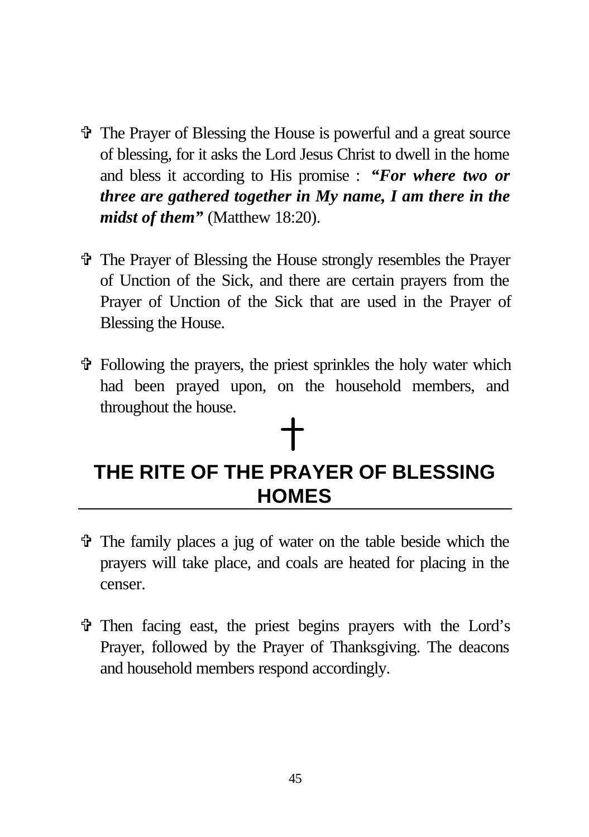- V The Prayer of Blessing the House is powerful and a great source of blessing, for it asks the Lord Jesus Christ to dwell in the home and bless it according to His promise : *"For where two or three are gathered together in My name, I am there in the midst of them"* (Matthew 18:20).
- V The Prayer of Blessing the House strongly resembles the Prayer of Unction of the Sick, and there are certain prayers from the Prayer of Unction of the Sick that are used in the Prayer of Blessing the House.
- $\hat{\mathbf{\Phi}}$  Following the prayers, the priest sprinkles the holy water which had been prayed upon, on the household members, and throughout the house.

# $\mathbf +$ **THE RITE OF THE PRAYER OF BLESSING HOMES**

- V The family places a jug of water on the table beside which the prayers will take place, and coals are heated for placing in the censer.
- V Then facing east, the priest begins prayers with the Lord's Prayer, followed by the Prayer of Thanksgiving. The deacons and household members respond accordingly.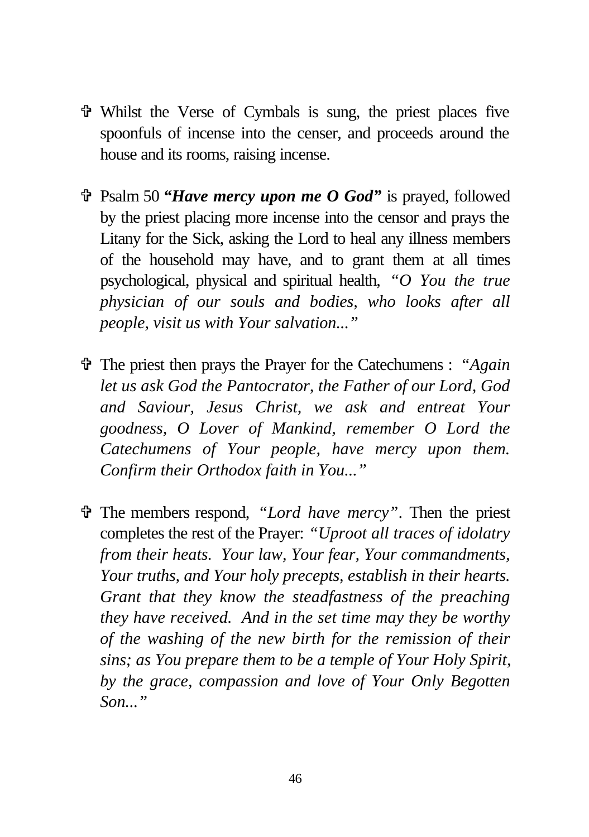- V Whilst the Verse of Cymbals is sung, the priest places five spoonfuls of incense into the censer, and proceeds around the house and its rooms, raising incense.
- V Psalm 50 *"Have mercy upon me O God"* is prayed, followed by the priest placing more incense into the censor and prays the Litany for the Sick, asking the Lord to heal any illness members of the household may have, and to grant them at all times psychological, physical and spiritual health, *"O You the true physician of our souls and bodies, who looks after all people, visit us with Your salvation..."*
- V The priest then prays the Prayer for the Catechumens : *"Again let us ask God the Pantocrator, the Father of our Lord, God and Saviour, Jesus Christ, we ask and entreat Your goodness, O Lover of Mankind, remember O Lord the Catechumens of Your people, have mercy upon them. Confirm their Orthodox faith in You..."*
- V The members respond, *"Lord have mercy"*. Then the priest completes the rest of the Prayer: *"Uproot all traces of idolatry from their heats. Your law, Your fear, Your commandments, Your truths, and Your holy precepts, establish in their hearts. Grant that they know the steadfastness of the preaching they have received. And in the set time may they be worthy of the washing of the new birth for the remission of their sins; as You prepare them to be a temple of Your Holy Spirit, by the grace, compassion and love of Your Only Begotten Son..."*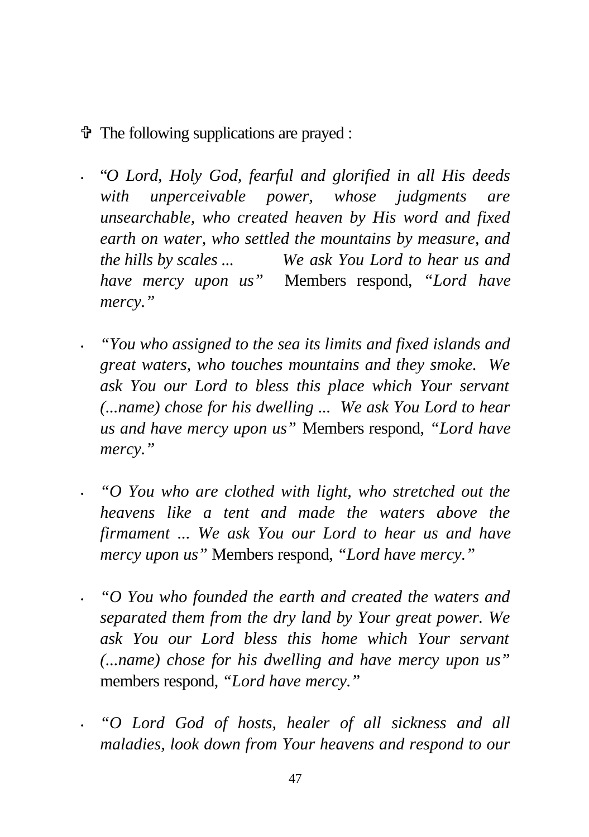- $\mathbf{\hat{v}}$  The following supplications are prayed :
- "*O Lord, Holy God, fearful and glorified in all His deeds with unperceivable power, whose judgments are unsearchable, who created heaven by His word and fixed earth on water, who settled the mountains by measure, and the hills by scales ... We ask You Lord to hear us and have mercy upon us"* Members respond, *"Lord have mercy."*
	- *"You who assigned to the sea its limits and fixed islands and great waters, who touches mountains and they smoke. We ask You our Lord to bless this place which Your servant (...name) chose for his dwelling ... We ask You Lord to hear us and have mercy upon us"* Members respond, *"Lord have mercy."*
- *"O You who are clothed with light, who stretched out the heavens like a tent and made the waters above the firmament ... We ask You our Lord to hear us and have mercy upon us"* Members respond, *"Lord have mercy."*
- *"O You who founded the earth and created the waters and separated them from the dry land by Your great power. We ask You our Lord bless this home which Your servant (...name) chose for his dwelling and have mercy upon us"* members respond, *"Lord have mercy."*
- *"O Lord God of hosts, healer of all sickness and all maladies, look down from Your heavens and respond to our*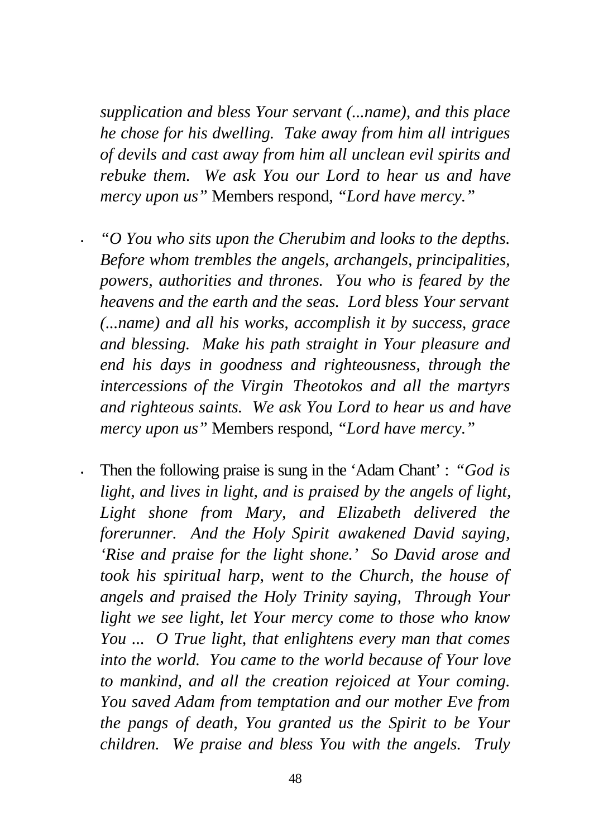*supplication and bless Your servant (...name), and this place he chose for his dwelling. Take away from him all intrigues of devils and cast away from him all unclean evil spirits and rebuke them. We ask You our Lord to hear us and have mercy upon us"* Members respond, *"Lord have mercy."*

• *"O You who sits upon the Cherubim and looks to the depths. Before whom trembles the angels, archangels, principalities, powers, authorities and thrones. You who is feared by the heavens and the earth and the seas. Lord bless Your servant (...name) and all his works, accomplish it by success, grace and blessing. Make his path straight in Your pleasure and end his days in goodness and righteousness, through the intercessions of the Virgin Theotokos and all the martyrs and righteous saints. We ask You Lord to hear us and have mercy upon us"* Members respond, *"Lord have mercy."*

• Then the following praise is sung in the 'Adam Chant' : *"God is light, and lives in light, and is praised by the angels of light, Light shone from Mary, and Elizabeth delivered the forerunner. And the Holy Spirit awakened David saying, 'Rise and praise for the light shone.' So David arose and took his spiritual harp, went to the Church, the house of angels and praised the Holy Trinity saying, Through Your light we see light, let Your mercy come to those who know You ... O True light, that enlightens every man that comes into the world. You came to the world because of Your love to mankind, and all the creation rejoiced at Your coming. You saved Adam from temptation and our mother Eve from the pangs of death, You granted us the Spirit to be Your children. We praise and bless You with the angels. Truly*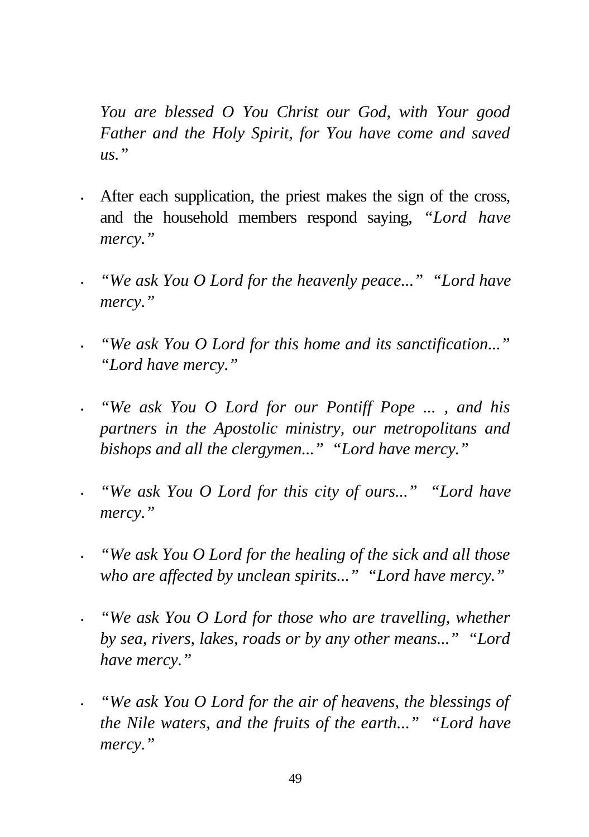*You are blessed O You Christ our God, with Your good Father and the Holy Spirit, for You have come and saved us."*

- After each supplication, the priest makes the sign of the cross, and the household members respond saying, *"Lord have mercy."*
- *· "We ask You O Lord for the heavenly peace..." "Lord have mercy."*
	- *· "We ask You O Lord for this home and its sanctification..." "Lord have mercy."*
	- *· "We ask You O Lord for our Pontiff Pope ... , and his partners in the Apostolic ministry, our metropolitans and bishops and all the clergymen..." "Lord have mercy."*
- *· "We ask You O Lord for this city of ours..." "Lord have mercy."*
- *· "We ask You O Lord for the healing of the sick and all those who are affected by unclean spirits..." "Lord have mercy."*
- *· "We ask You O Lord for those who are travelling, whether by sea, rivers, lakes, roads or by any other means..." "Lord have mercy."*
	- *· "We ask You O Lord for the air of heavens, the blessings of the Nile waters, and the fruits of the earth..." "Lord have mercy."*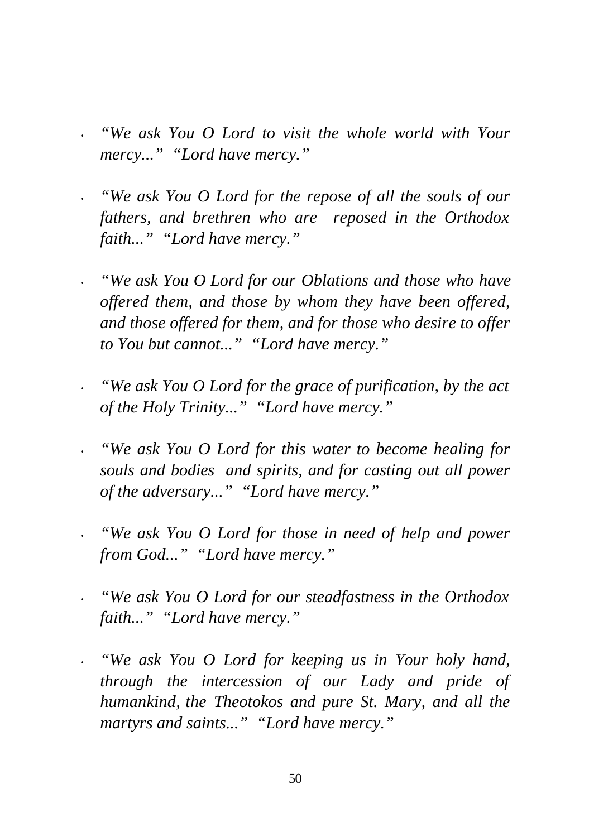*· "We ask You O Lord to visit the whole world with Your mercy..." "Lord have mercy."*

*· "We ask You O Lord for the repose of all the souls of our fathers, and brethren who are reposed in the Orthodox faith..." "Lord have mercy."*

- *· "We ask You O Lord for our Oblations and those who have offered them, and those by whom they have been offered, and those offered for them, and for those who desire to offer to You but cannot..." "Lord have mercy."*
- *· "We ask You O Lord for the grace of purification, by the act of the Holy Trinity..." "Lord have mercy."*
- *· "We ask You O Lord for this water to become healing for souls and bodies and spirits, and for casting out all power of the adversary..." "Lord have mercy."*
- *· "We ask You O Lord for those in need of help and power from God..." "Lord have mercy."*
- *· "We ask You O Lord for our steadfastness in the Orthodox faith..." "Lord have mercy."*
- *· "We ask You O Lord for keeping us in Your holy hand, through the intercession of our Lady and pride of humankind, the Theotokos and pure St. Mary, and all the martyrs and saints..." "Lord have mercy."*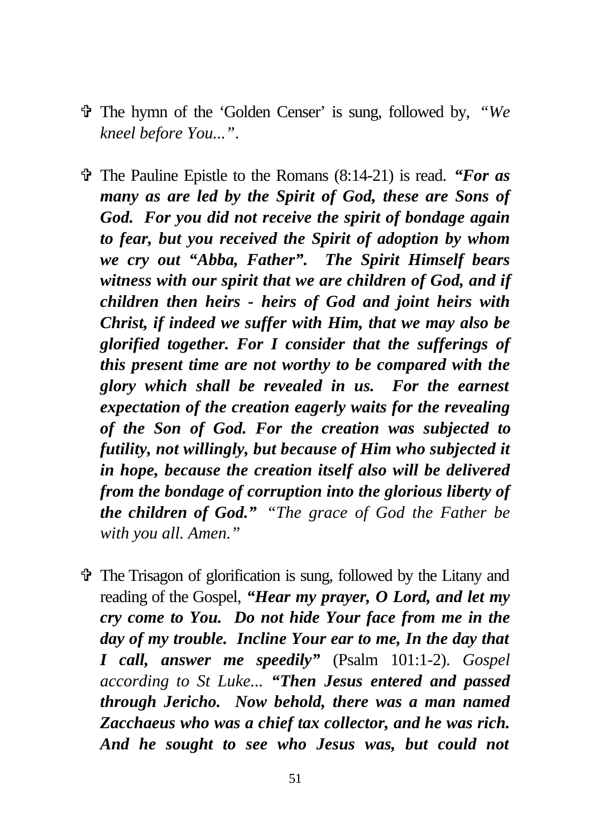- V The hymn of the 'Golden Censer' is sung, followed by, *"We kneel before You..."*.
- V The Pauline Epistle to the Romans (8:14-21) is read. *"For as many as are led by the Spirit of God, these are Sons of God. For you did not receive the spirit of bondage again to fear, but you received the Spirit of adoption by whom we cry out "Abba, Father". The Spirit Himself bears witness with our spirit that we are children of God, and if children then heirs - heirs of God and joint heirs with Christ, if indeed we suffer with Him, that we may also be glorified together. For I consider that the sufferings of this present time are not worthy to be compared with the glory which shall be revealed in us. For the earnest expectation of the creation eagerly waits for the revealing of the Son of God. For the creation was subjected to futility, not willingly, but because of Him who subjected it in hope, because the creation itself also will be delivered from the bondage of corruption into the glorious liberty of the children of God." "The grace of God the Father be with you all. Amen."*
- V The Trisagon of glorification is sung, followed by the Litany and reading of the Gospel, *"Hear my prayer, O Lord, and let my cry come to You. Do not hide Your face from me in the day of my trouble. Incline Your ear to me, In the day that I call, answer me speedily"* (Psalm 101:1-2). *Gospel according to St Luke... "Then Jesus entered and passed through Jericho. Now behold, there was a man named Zacchaeus who was a chief tax collector, and he was rich. And he sought to see who Jesus was, but could not*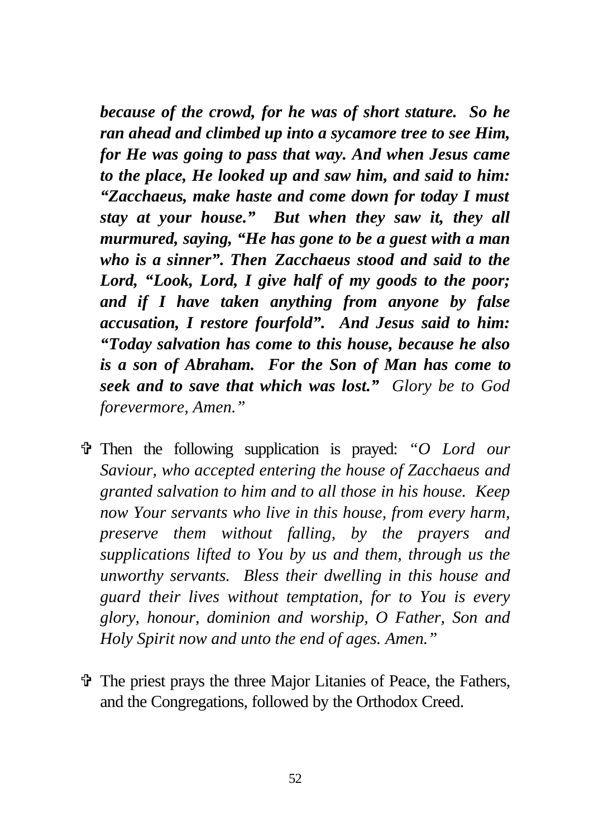*because of the crowd, for he was of short stature. So he ran ahead and climbed up into a sycamore tree to see Him, for He was going to pass that way. And when Jesus came to the place, He looked up and saw him, and said to him: "Zacchaeus, make haste and come down for today I must stay at your house." But when they saw it, they all murmured, saying, "He has gone to be a guest with a man who is a sinner". Then Zacchaeus stood and said to the Lord, "Look, Lord, I give half of my goods to the poor; and if I have taken anything from anyone by false accusation, I restore fourfold". And Jesus said to him: "Today salvation has come to this house, because he also is a son of Abraham. For the Son of Man has come to seek and to save that which was lost." Glory be to God forevermore, Amen."*

- V Then the following supplication is prayed: *"O Lord our Saviour, who accepted entering the house of Zacchaeus and granted salvation to him and to all those in his house. Keep now Your servants who live in this house, from every harm, preserve them without falling, by the prayers and supplications lifted to You by us and them, through us the unworthy servants. Bless their dwelling in this house and guard their lives without temptation, for to You is every glory, honour, dominion and worship, O Father, Son and Holy Spirit now and unto the end of ages. Amen."*
- V The priest prays the three Major Litanies of Peace, the Fathers, and the Congregations, followed by the Orthodox Creed.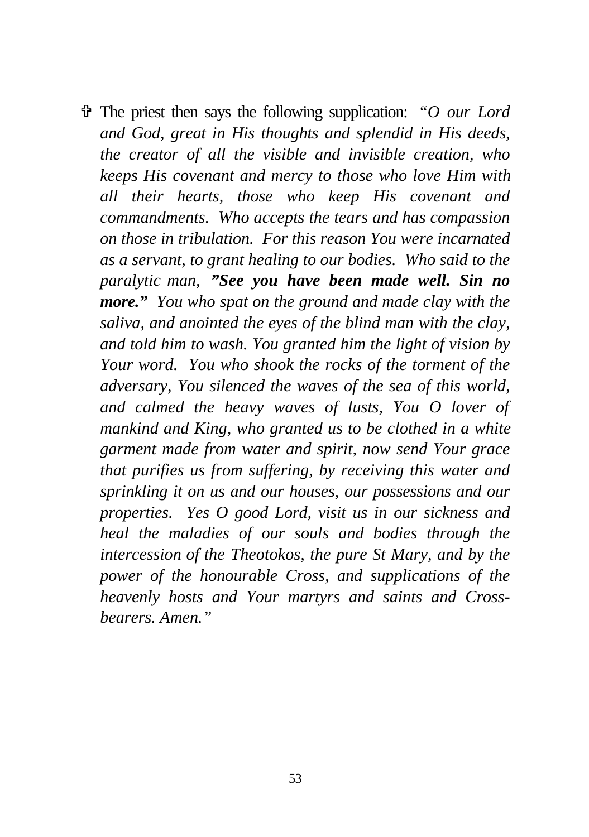V The priest then says the following supplication: *"O our Lord and God, great in His thoughts and splendid in His deeds, the creator of all the visible and invisible creation, who keeps His covenant and mercy to those who love Him with all their hearts, those who keep His covenant and commandments. Who accepts the tears and has compassion on those in tribulation. For this reason You were incarnated as a servant, to grant healing to our bodies. Who said to the paralytic man, "See you have been made well. Sin no more." You who spat on the ground and made clay with the saliva, and anointed the eyes of the blind man with the clay, and told him to wash. You granted him the light of vision by Your word. You who shook the rocks of the torment of the adversary, You silenced the waves of the sea of this world, and calmed the heavy waves of lusts, You O lover of mankind and King, who granted us to be clothed in a white garment made from water and spirit, now send Your grace that purifies us from suffering, by receiving this water and sprinkling it on us and our houses, our possessions and our properties. Yes O good Lord, visit us in our sickness and heal the maladies of our souls and bodies through the intercession of the Theotokos, the pure St Mary, and by the power of the honourable Cross, and supplications of the heavenly hosts and Your martyrs and saints and Crossbearers. Amen."*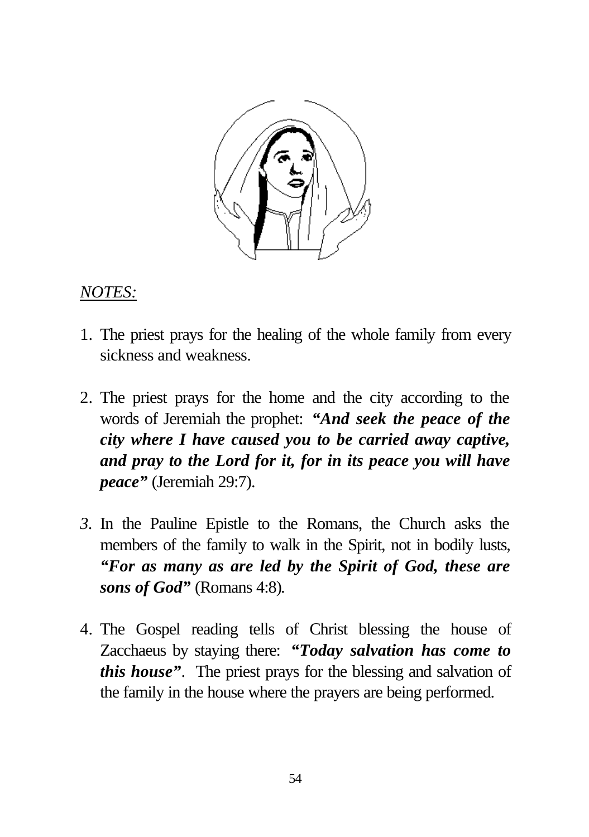

#### *NOTES:*

- 1. The priest prays for the healing of the whole family from every sickness and weakness.
- 2. The priest prays for the home and the city according to the words of Jeremiah the prophet: *"And seek the peace of the city where I have caused you to be carried away captive, and pray to the Lord for it, for in its peace you will have peace"* (Jeremiah 29:7).
- *3.* In the Pauline Epistle to the Romans, the Church asks the members of the family to walk in the Spirit, not in bodily lusts, *"For as many as are led by the Spirit of God, these are sons of God"* (Romans 4:8)*.*
- 4. The Gospel reading tells of Christ blessing the house of Zacchaeus by staying there: *"Today salvation has come to this house"*. The priest prays for the blessing and salvation of the family in the house where the prayers are being performed.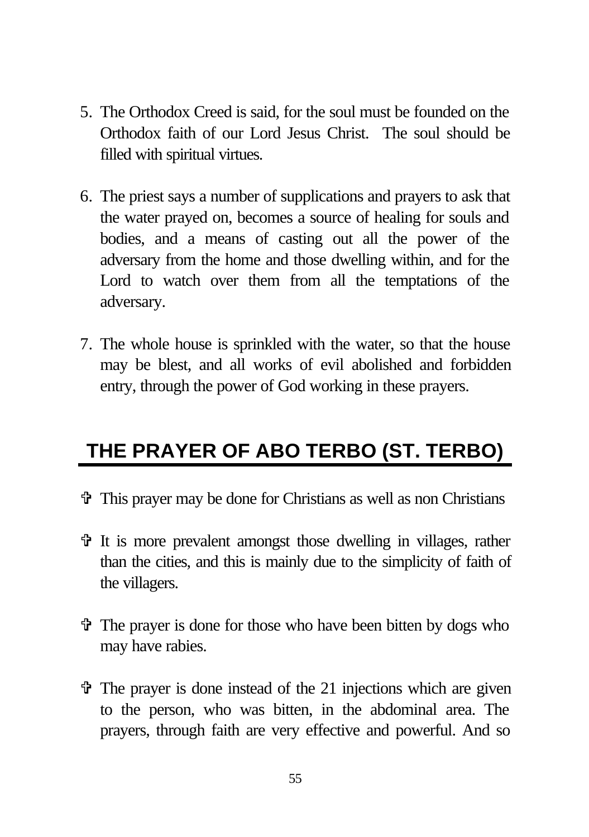- 5. The Orthodox Creed is said, for the soul must be founded on the Orthodox faith of our Lord Jesus Christ. The soul should be filled with spiritual virtues.
- 6. The priest says a number of supplications and prayers to ask that the water prayed on, becomes a source of healing for souls and bodies, and a means of casting out all the power of the adversary from the home and those dwelling within, and for the Lord to watch over them from all the temptations of the adversary.
- 7. The whole house is sprinkled with the water, so that the house may be blest, and all works of evil abolished and forbidden entry, through the power of God working in these prayers.

## **THE PRAYER OF ABO TERBO (ST. TERBO)**

- V This prayer may be done for Christians as well as non Christians
- $\hat{\mathbf{v}}$  It is more prevalent amongst those dwelling in villages, rather than the cities, and this is mainly due to the simplicity of faith of the villagers.
- $\hat{\mathbf{v}}$  The prayer is done for those who have been bitten by dogs who may have rabies.
- $\hat{\tau}$  The prayer is done instead of the 21 injections which are given to the person, who was bitten, in the abdominal area. The prayers, through faith are very effective and powerful. And so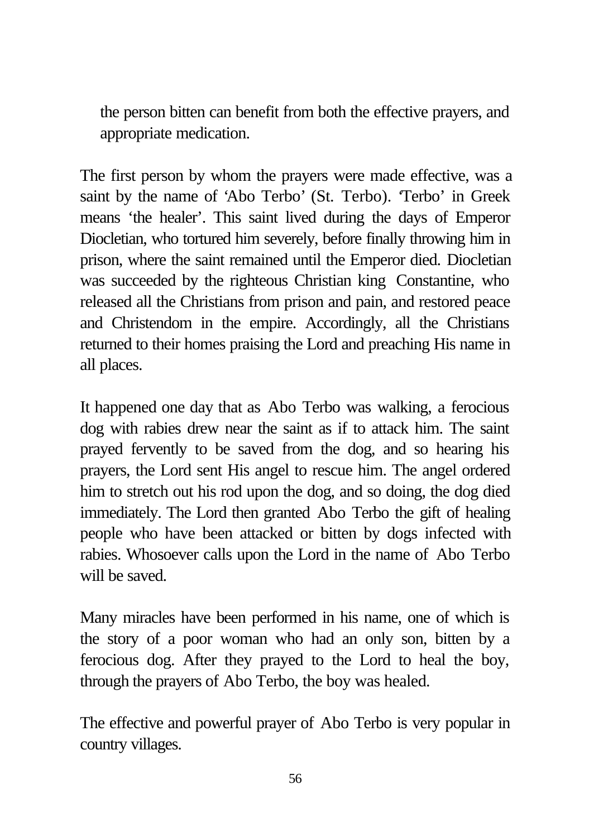the person bitten can benefit from both the effective prayers, and appropriate medication.

The first person by whom the prayers were made effective, was a saint by the name of 'Abo Terbo' (St. Terbo). 'Terbo' in Greek means 'the healer'. This saint lived during the days of Emperor Diocletian, who tortured him severely, before finally throwing him in prison, where the saint remained until the Emperor died. Diocletian was succeeded by the righteous Christian king Constantine, who released all the Christians from prison and pain, and restored peace and Christendom in the empire. Accordingly, all the Christians returned to their homes praising the Lord and preaching His name in all places.

It happened one day that as Abo Terbo was walking, a ferocious dog with rabies drew near the saint as if to attack him. The saint prayed fervently to be saved from the dog, and so hearing his prayers, the Lord sent His angel to rescue him. The angel ordered him to stretch out his rod upon the dog, and so doing, the dog died immediately. The Lord then granted Abo Terbo the gift of healing people who have been attacked or bitten by dogs infected with rabies. Whosoever calls upon the Lord in the name of Abo Terbo will be saved.

Many miracles have been performed in his name, one of which is the story of a poor woman who had an only son, bitten by a ferocious dog. After they prayed to the Lord to heal the boy, through the prayers of Abo Terbo, the boy was healed.

The effective and powerful prayer of Abo Terbo is very popular in country villages.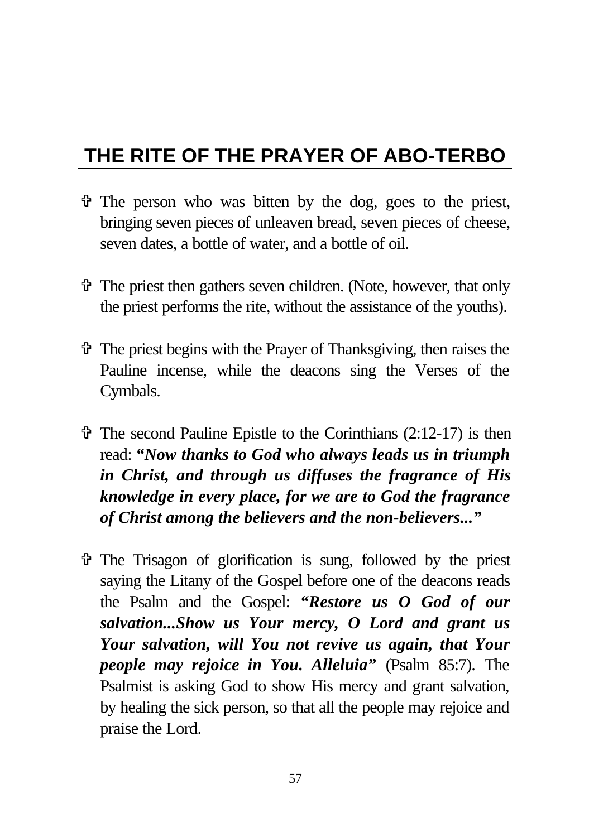## **THE RITE OF THE PRAYER OF ABO-TERBO**

- $\hat{\mathbf{v}}$  The person who was bitten by the dog, goes to the priest, bringing seven pieces of unleaven bread, seven pieces of cheese, seven dates, a bottle of water, and a bottle of oil.
- V The priest then gathers seven children. (Note, however, that only the priest performs the rite, without the assistance of the youths).
- $\hat{\mathbf{\Phi}}$  The priest begins with the Prayer of Thanksgiving, then raises the Pauline incense, while the deacons sing the Verses of the Cymbals.
- $\hat{\mathbf{\Phi}}$  The second Pauline Epistle to the Corinthians (2:12-17) is then read: *"Now thanks to God who always leads us in triumph in Christ, and through us diffuses the fragrance of His knowledge in every place, for we are to God the fragrance of Christ among the believers and the non-believers..."*
- V The Trisagon of glorification is sung, followed by the priest saying the Litany of the Gospel before one of the deacons reads the Psalm and the Gospel: *"Restore us O God of our salvation...Show us Your mercy, O Lord and grant us Your salvation, will You not revive us again, that Your people may rejoice in You. Alleluia"* (Psalm 85:7). The Psalmist is asking God to show His mercy and grant salvation, by healing the sick person, so that all the people may rejoice and praise the Lord.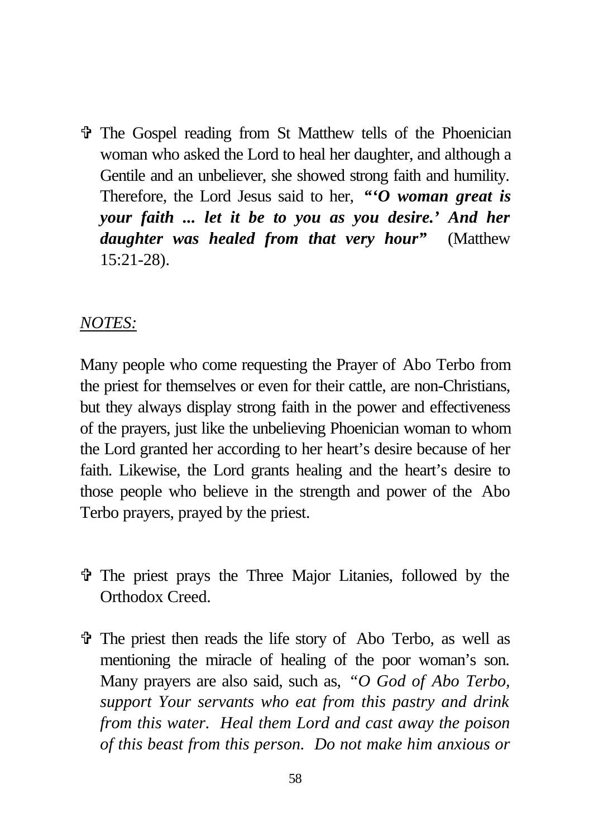V The Gospel reading from St Matthew tells of the Phoenician woman who asked the Lord to heal her daughter, and although a Gentile and an unbeliever, she showed strong faith and humility. Therefore, the Lord Jesus said to her, *"'O woman great is your faith ... let it be to you as you desire.' And her daughter was healed from that very hour"* (Matthew 15:21-28).

#### *NOTES:*

Many people who come requesting the Prayer of Abo Terbo from the priest for themselves or even for their cattle, are non-Christians, but they always display strong faith in the power and effectiveness of the prayers, just like the unbelieving Phoenician woman to whom the Lord granted her according to her heart's desire because of her faith. Likewise, the Lord grants healing and the heart's desire to those people who believe in the strength and power of the Abo Terbo prayers, prayed by the priest.

- V The priest prays the Three Major Litanies, followed by the Orthodox Creed.
- V The priest then reads the life story of Abo Terbo, as well as mentioning the miracle of healing of the poor woman's son. Many prayers are also said, such as, *"O God of Abo Terbo, support Your servants who eat from this pastry and drink from this water. Heal them Lord and cast away the poison of this beast from this person. Do not make him anxious or*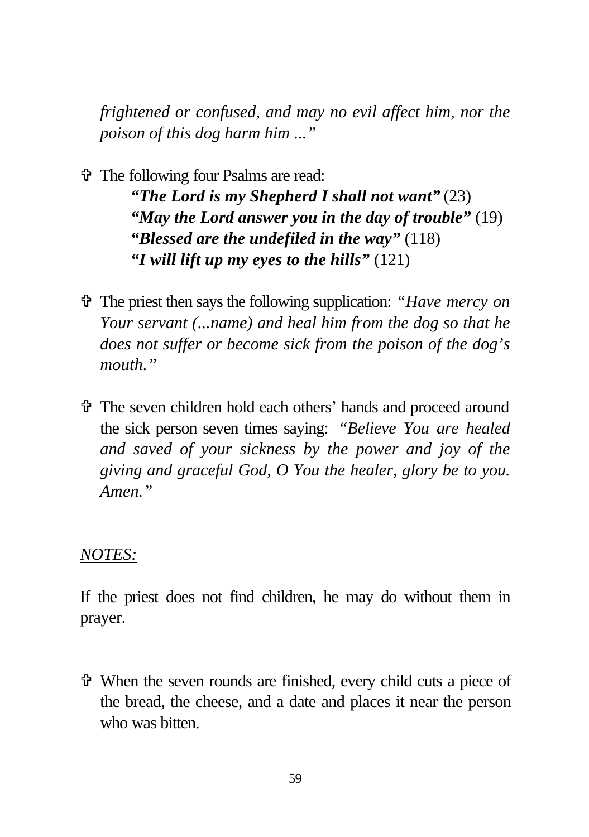*frightened or confused, and may no evil affect him, nor the poison of this dog harm him ..."*

V The following four Psalms are read:

*"The Lord is my Shepherd I shall not want"* (23) *"May the Lord answer you in the day of trouble"* (19) *"Blessed are the undefiled in the way"* (118) *"I will lift up my eyes to the hills"* (121)

- V The priest then says the following supplication: *"Have mercy on Your servant (...name) and heal him from the dog so that he does not suffer or become sick from the poison of the dog's mouth."*
- V The seven children hold each others' hands and proceed around the sick person seven times saying: *"Believe You are healed and saved of your sickness by the power and joy of the giving and graceful God, O You the healer, glory be to you. Amen."*

#### *NOTES:*

If the priest does not find children, he may do without them in prayer.

V When the seven rounds are finished, every child cuts a piece of the bread, the cheese, and a date and places it near the person who was bitten.